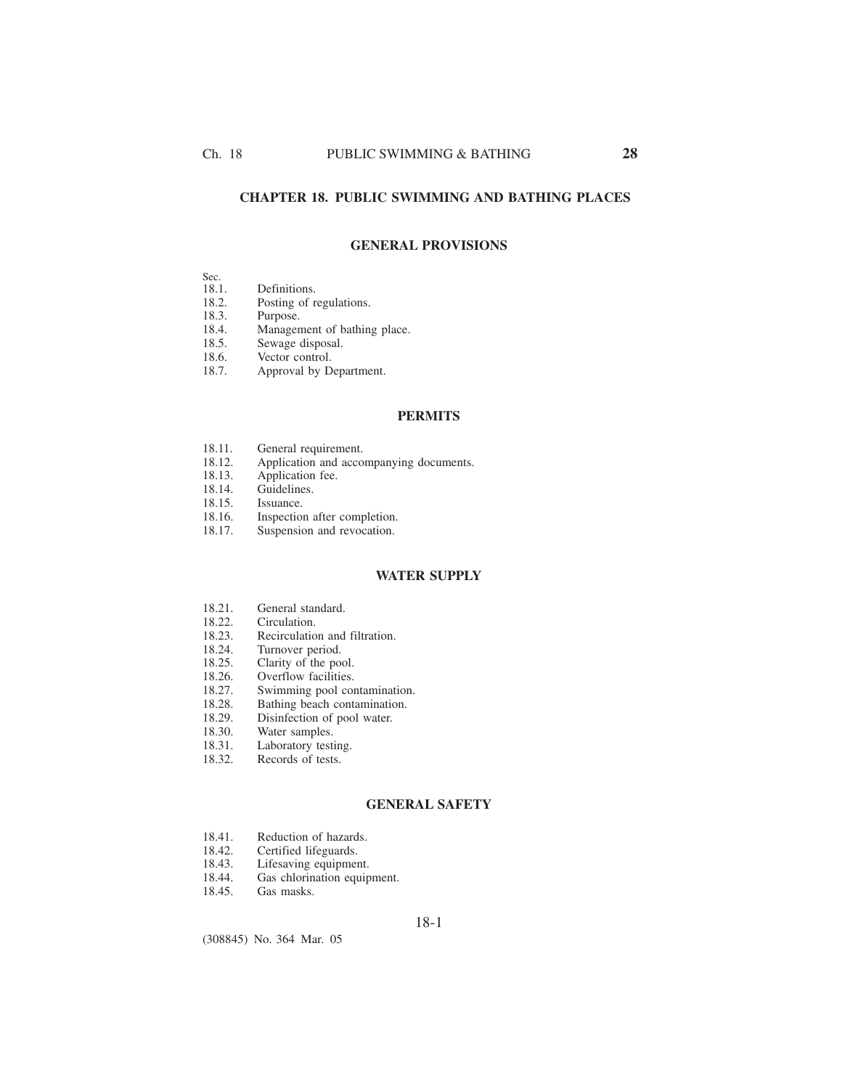### **GENERAL PROVISIONS**

- Sec.<br>18.1.
- 18.1. Definitions.<br>18.2. Posting of re
- 18.2. Posting of regulations.<br>18.3. Purpose.
- Purpose.
- 18.4. Management of bathing place.
- 18.5. Sewage disposal.<br>18.6. Vector control.
- 18.6. Vector control.<br>18.7. Approval by D
- Approval by Department.

# **PERMITS**

| 18.11. | General requirement.                    |
|--------|-----------------------------------------|
| 18.12. | Application and accompanying documents. |
| 18.13. | Application fee.                        |
| 18.14. | Guidelines.                             |
| 18.15. | Issuance.                               |

- 
- 18.16. Inspection after completion.<br>18.17. Suspension and revocation. Suspension and revocation.

# **WATER SUPPLY**

- 18.21. General standard.<br>18.22. Circulation.
- 18.22. Circulation.<br>18.23. Recirculation
- 18.23. Recirculation and filtration.<br>18.24. Turnover period.
- Turnover period.
- 18.25. Clarity of the pool.<br>18.26. Overflow facilities.
- 18.26. Overflow facilities.<br>18.27. Swimming pool con
- 18.27. Swimming pool contamination.<br>18.28. Bathing beach contamination.
- 18.28. Bathing beach contamination.<br>18.29. Disinfection of pool water.
- 18.29. Disinfection of pool water.<br>18.30. Water samples.
- 18.30. Water samples.<br>18.31. Laboratory testi
- 18.31. Laboratory testing.<br>18.32. Records of tests.
- Records of tests.

# **GENERAL SAFETY**

- 18.41. Reduction of hazards.<br>18.42. Certified lifeguards.
- 18.42. Certified lifeguards.<br>18.43. Lifesaving equipmer
- 18.43. Lifesaving equipment.<br>18.44. Gas chlorination equip
- 18.44. Gas chlorination equipment.<br>18.45. Gas masks.
- Gas masks.

(308845) No. 364 Mar. 05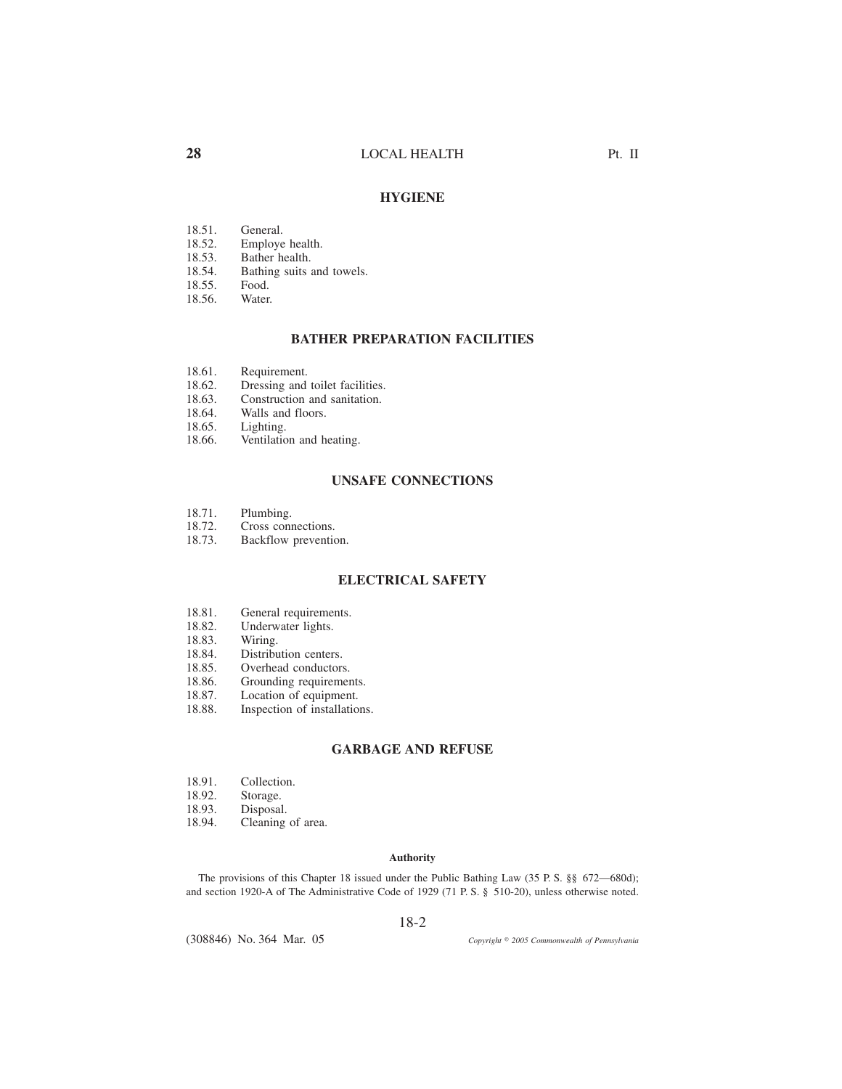# **28** LOCAL HEALTH Pt. II

# **HYGIENE**

- 18.51. General.<br>18.52. Employe
- 18.52. Employe health.<br>18.53. Bather health.
- 18.53. Bather health.<br>18.54. Bathing suits
- Bathing suits and towels.<br>Food.
- 18.55.<br>18.56.
- Water.

# **BATHER PREPARATION FACILITIES**

- 18.61. Requirement.<br>18.62. Dressing and
- 18.62. Dressing and toilet facilities.<br>18.63. Construction and sanitation.
- Construction and sanitation.
- 18.64. Walls and floors.<br>18.65. Lighting.
- 18.65. Lighting.<br>18.66. Ventilatio
- Ventilation and heating.

# **UNSAFE CONNECTIONS**

- 18.71. Plumbing.<br>18.72. Cross com
- Cross connections.
- 18.73. Backflow prevention.

### **ELECTRICAL SAFETY**

- 18.81. General requirements.<br>18.82. Underwater lights.
- 18.82. Underwater lights.<br>18.83. Wiring.
- 18.83. Wiring.<br>18.84. Distribu
- 18.84. Distribution centers.<br>18.85. Overhead conductors
- 
- 18.85. Overhead conductors.<br>18.86. Grounding requirement 18.86. Grounding requirements.<br>18.87. Location of equipment.
- 18.87. Location of equipment.<br>18.88. Inspection of installation
- Inspection of installations.

# **GARBAGE AND REFUSE**

- 18.91. Collection.<br>18.92. Storage.
- 18.92. Storage.<br>18.93. Disposal
- 18.93. Disposal.<br>18.94. Cleaning
- Cleaning of area.

### **Authority**

The provisions of this Chapter 18 issued under the Public Bathing Law (35 P. S. §§ 672—680d); and section 1920-A of The Administrative Code of 1929 (71 P. S. § 510-20), unless otherwise noted.

18-2

(308846) No. 364 Mar. 05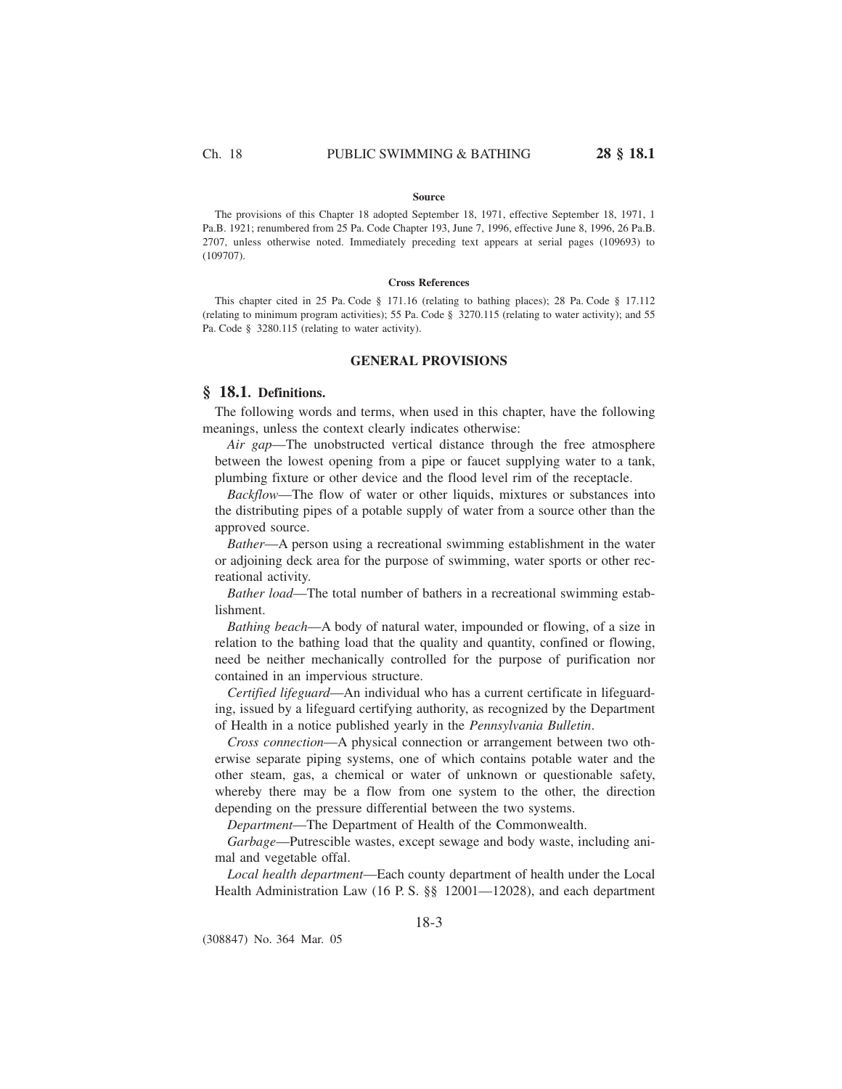The provisions of this Chapter 18 adopted September 18, 1971, effective September 18, 1971, 1 Pa.B. 1921; renumbered from 25 Pa. Code Chapter 193, June 7, 1996, effective June 8, 1996, 26 Pa.B. 2707, unless otherwise noted. Immediately preceding text appears at serial pages (109693) to (109707).

#### **Cross References**

This chapter cited in 25 Pa. Code § 171.16 (relating to bathing places); 28 Pa. Code § 17.112 (relating to minimum program activities); 55 Pa. Code § 3270.115 (relating to water activity); and 55 Pa. Code § 3280.115 (relating to water activity).

## **GENERAL PROVISIONS**

# **§ 18.1. Definitions.**

The following words and terms, when used in this chapter, have the following meanings, unless the context clearly indicates otherwise:

*Air gap*—The unobstructed vertical distance through the free atmosphere between the lowest opening from a pipe or faucet supplying water to a tank, plumbing fixture or other device and the flood level rim of the receptacle.

*Backflow*—The flow of water or other liquids, mixtures or substances into the distributing pipes of a potable supply of water from a source other than the approved source.

*Bather*—A person using a recreational swimming establishment in the water or adjoining deck area for the purpose of swimming, water sports or other recreational activity.

*Bather load*—The total number of bathers in a recreational swimming establishment.

*Bathing beach*—A body of natural water, impounded or flowing, of a size in relation to the bathing load that the quality and quantity, confined or flowing, need be neither mechanically controlled for the purpose of purification nor contained in an impervious structure.

*Certified lifeguard*—An individual who has a current certificate in lifeguarding, issued by a lifeguard certifying authority, as recognized by the Department of Health in a notice published yearly in the *Pennsylvania Bulletin*.

*Cross connection*—A physical connection or arrangement between two otherwise separate piping systems, one of which contains potable water and the other steam, gas, a chemical or water of unknown or questionable safety, whereby there may be a flow from one system to the other, the direction depending on the pressure differential between the two systems.

*Department*—The Department of Health of the Commonwealth.

*Garbage*—Putrescible wastes, except sewage and body waste, including animal and vegetable offal.

*Local health department*—Each county department of health under the Local Health Administration Law (16 P. S. §§ 12001—12028), and each department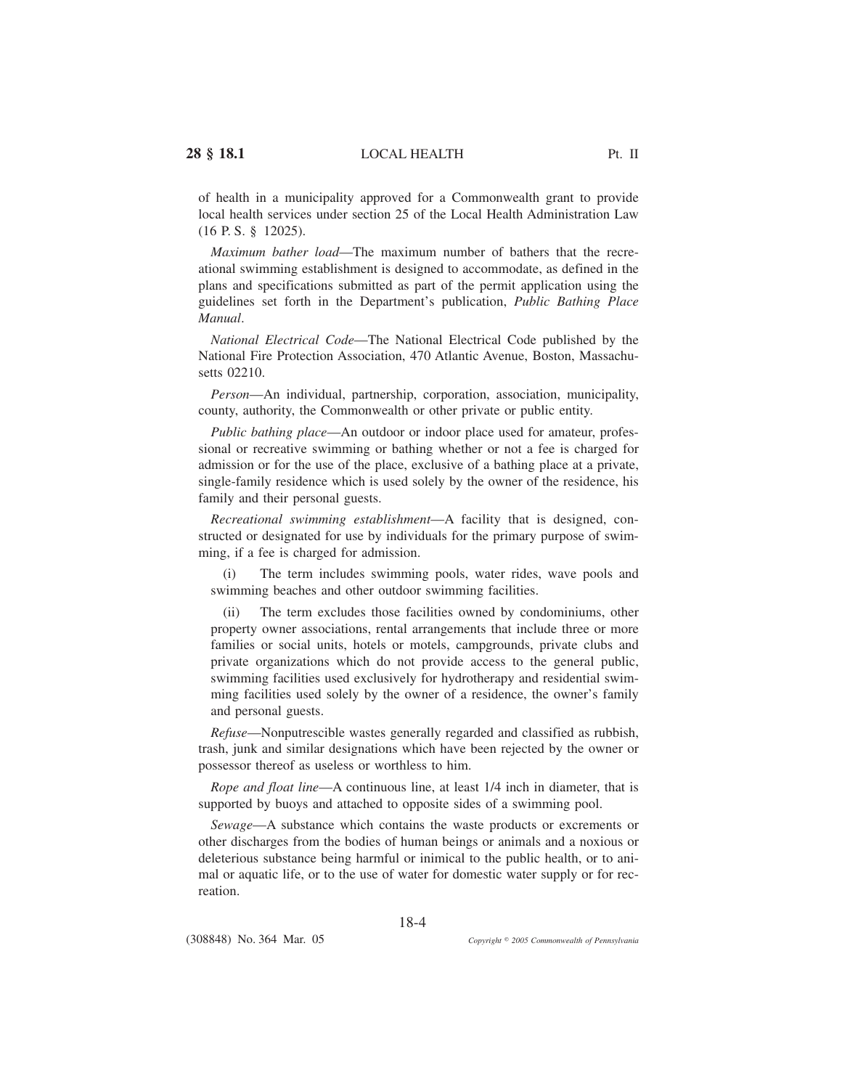of health in a municipality approved for a Commonwealth grant to provide local health services under section 25 of the Local Health Administration Law (16 P. S. § 12025).

*Maximum bather load*—The maximum number of bathers that the recreational swimming establishment is designed to accommodate, as defined in the plans and specifications submitted as part of the permit application using the guidelines set forth in the Department's publication, *Public Bathing Place Manual*.

*National Electrical Code*—The National Electrical Code published by the National Fire Protection Association, 470 Atlantic Avenue, Boston, Massachusetts 02210.

*Person*—An individual, partnership, corporation, association, municipality, county, authority, the Commonwealth or other private or public entity.

*Public bathing place*—An outdoor or indoor place used for amateur, professional or recreative swimming or bathing whether or not a fee is charged for admission or for the use of the place, exclusive of a bathing place at a private, single-family residence which is used solely by the owner of the residence, his family and their personal guests.

*Recreational swimming establishment*—A facility that is designed, constructed or designated for use by individuals for the primary purpose of swimming, if a fee is charged for admission.

(i) The term includes swimming pools, water rides, wave pools and swimming beaches and other outdoor swimming facilities.

(ii) The term excludes those facilities owned by condominiums, other property owner associations, rental arrangements that include three or more families or social units, hotels or motels, campgrounds, private clubs and private organizations which do not provide access to the general public, swimming facilities used exclusively for hydrotherapy and residential swimming facilities used solely by the owner of a residence, the owner's family and personal guests.

*Refuse*—Nonputrescible wastes generally regarded and classified as rubbish, trash, junk and similar designations which have been rejected by the owner or possessor thereof as useless or worthless to him.

*Rope and float line*—A continuous line, at least 1/4 inch in diameter, that is supported by buoys and attached to opposite sides of a swimming pool.

*Sewage*—A substance which contains the waste products or excrements or other discharges from the bodies of human beings or animals and a noxious or deleterious substance being harmful or inimical to the public health, or to animal or aquatic life, or to the use of water for domestic water supply or for recreation.

18-4

(308848) No. 364 Mar. 05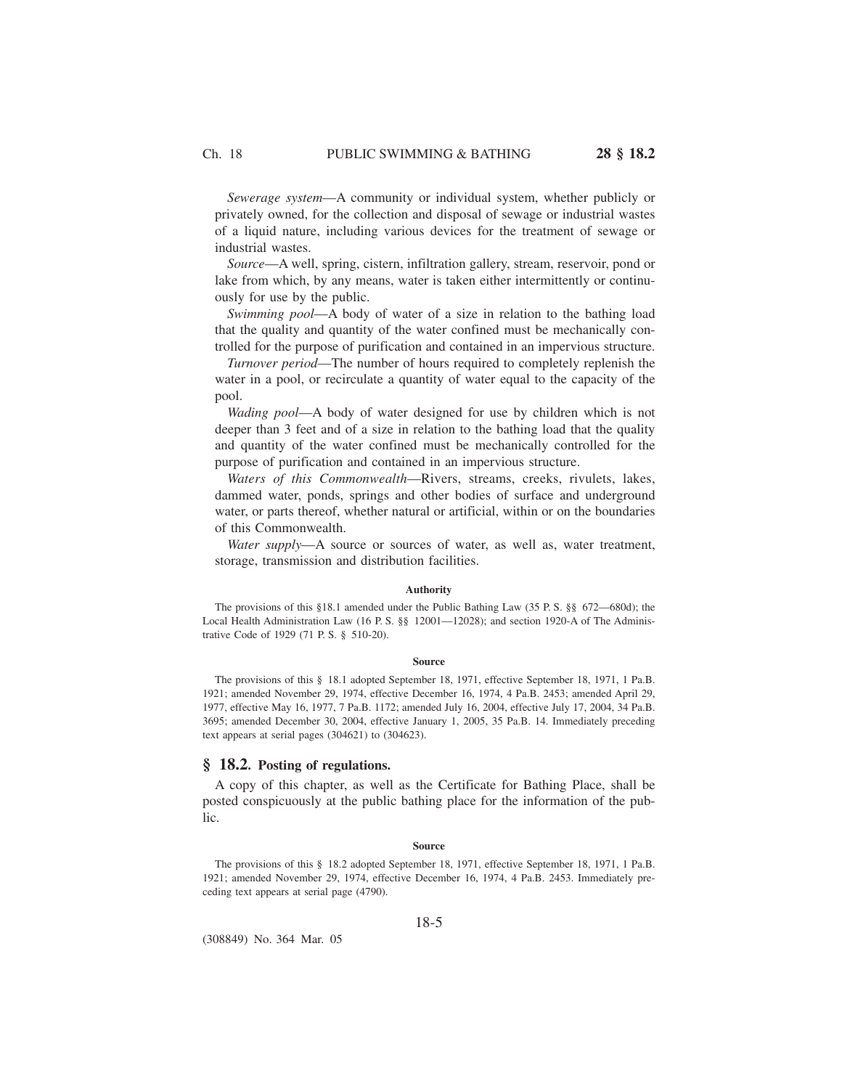*Sewerage system*—A community or individual system, whether publicly or privately owned, for the collection and disposal of sewage or industrial wastes of a liquid nature, including various devices for the treatment of sewage or industrial wastes.

*Source*—A well, spring, cistern, infiltration gallery, stream, reservoir, pond or lake from which, by any means, water is taken either intermittently or continuously for use by the public.

*Swimming pool*—A body of water of a size in relation to the bathing load that the quality and quantity of the water confined must be mechanically controlled for the purpose of purification and contained in an impervious structure.

*Turnover period*—The number of hours required to completely replenish the water in a pool, or recirculate a quantity of water equal to the capacity of the pool.

*Wading pool*—A body of water designed for use by children which is not deeper than 3 feet and of a size in relation to the bathing load that the quality and quantity of the water confined must be mechanically controlled for the purpose of purification and contained in an impervious structure.

*Waters of this Commonwealth*—Rivers, streams, creeks, rivulets, lakes, dammed water, ponds, springs and other bodies of surface and underground water, or parts thereof, whether natural or artificial, within or on the boundaries of this Commonwealth.

*Water supply*—A source or sources of water, as well as, water treatment, storage, transmission and distribution facilities.

#### **Authority**

The provisions of this §18.1 amended under the Public Bathing Law (35 P. S. §§ 672—680d); the Local Health Administration Law (16 P. S. §§ 12001—12028); and section 1920-A of The Administrative Code of 1929 (71 P. S. § 510-20).

#### **Source**

The provisions of this § 18.1 adopted September 18, 1971, effective September 18, 1971, 1 Pa.B. 1921; amended November 29, 1974, effective December 16, 1974, 4 Pa.B. 2453; amended April 29, 1977, effective May 16, 1977, 7 Pa.B. 1172; amended July 16, 2004, effective July 17, 2004, 34 Pa.B. 3695; amended December 30, 2004, effective January 1, 2005, 35 Pa.B. 14. Immediately preceding text appears at serial pages (304621) to (304623).

#### **§ 18.2. Posting of regulations.**

A copy of this chapter, as well as the Certificate for Bathing Place, shall be posted conspicuously at the public bathing place for the information of the public.

#### **Source**

The provisions of this § 18.2 adopted September 18, 1971, effective September 18, 1971, 1 Pa.B. 1921; amended November 29, 1974, effective December 16, 1974, 4 Pa.B. 2453. Immediately preceding text appears at serial page (4790).

(308849) No. 364 Mar. 05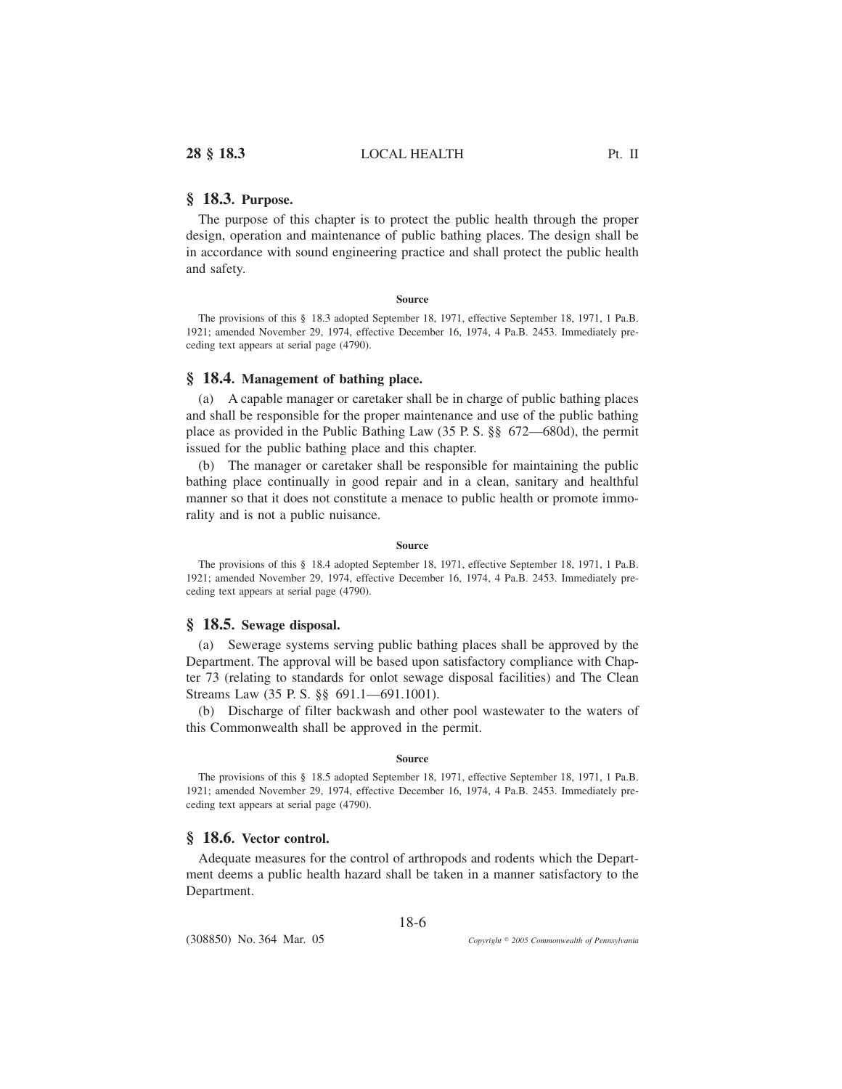The purpose of this chapter is to protect the public health through the proper design, operation and maintenance of public bathing places. The design shall be in accordance with sound engineering practice and shall protect the public health and safety.

**Source**

The provisions of this § 18.3 adopted September 18, 1971, effective September 18, 1971, 1 Pa.B. 1921; amended November 29, 1974, effective December 16, 1974, 4 Pa.B. 2453. Immediately preceding text appears at serial page (4790).

### **§ 18.4. Management of bathing place.**

(a) A capable manager or caretaker shall be in charge of public bathing places and shall be responsible for the proper maintenance and use of the public bathing place as provided in the Public Bathing Law (35 P. S. §§ 672—680d), the permit issued for the public bathing place and this chapter.

(b) The manager or caretaker shall be responsible for maintaining the public bathing place continually in good repair and in a clean, sanitary and healthful manner so that it does not constitute a menace to public health or promote immorality and is not a public nuisance.

#### **Source**

The provisions of this § 18.4 adopted September 18, 1971, effective September 18, 1971, 1 Pa.B. 1921; amended November 29, 1974, effective December 16, 1974, 4 Pa.B. 2453. Immediately preceding text appears at serial page (4790).

# **§ 18.5. Sewage disposal.**

(a) Sewerage systems serving public bathing places shall be approved by the Department. The approval will be based upon satisfactory compliance with Chapter 73 (relating to standards for onlot sewage disposal facilities) and The Clean Streams Law (35 P. S. §§ 691.1—691.1001).

(b) Discharge of filter backwash and other pool wastewater to the waters of this Commonwealth shall be approved in the permit.

#### **Source**

The provisions of this § 18.5 adopted September 18, 1971, effective September 18, 1971, 1 Pa.B. 1921; amended November 29, 1974, effective December 16, 1974, 4 Pa.B. 2453. Immediately preceding text appears at serial page (4790).

# **§ 18.6. Vector control.**

Adequate measures for the control of arthropods and rodents which the Department deems a public health hazard shall be taken in a manner satisfactory to the Department.

18-6

(308850) No. 364 Mar. 05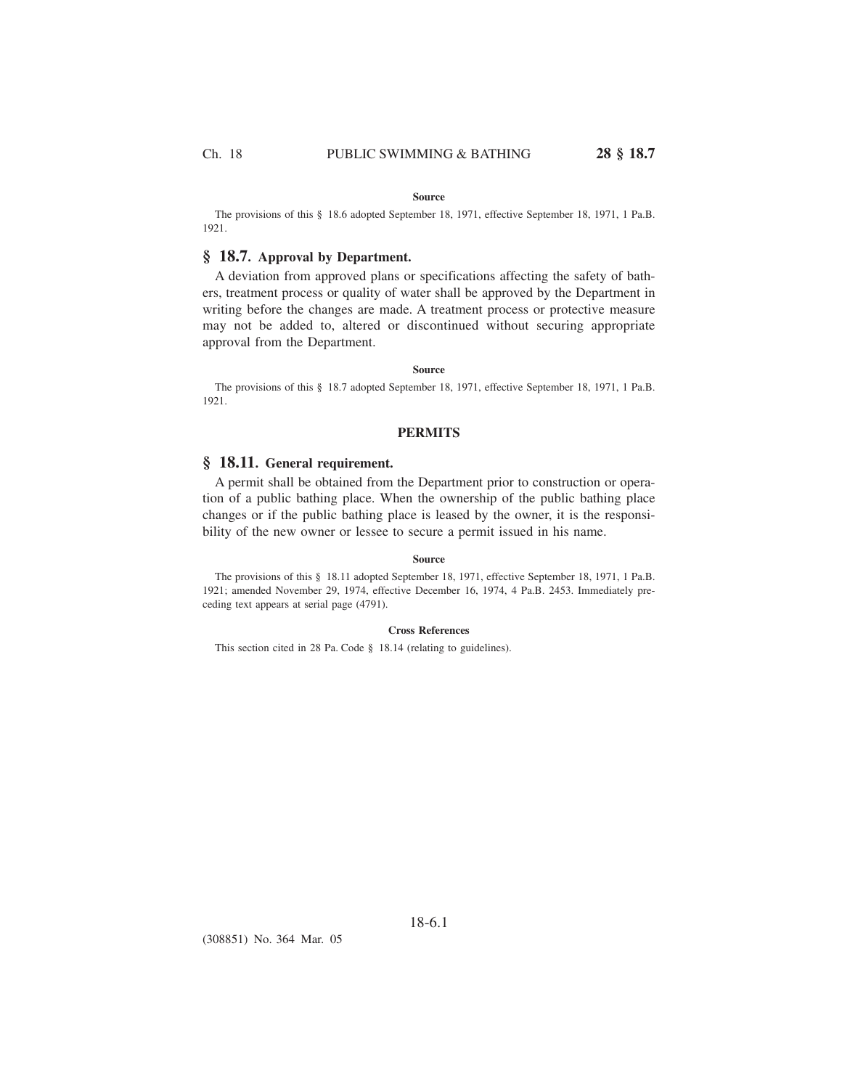The provisions of this § 18.6 adopted September 18, 1971, effective September 18, 1971, 1 Pa.B. 1921.

# **§ 18.7. Approval by Department.**

A deviation from approved plans or specifications affecting the safety of bathers, treatment process or quality of water shall be approved by the Department in writing before the changes are made. A treatment process or protective measure may not be added to, altered or discontinued without securing appropriate approval from the Department.

### **Source**

The provisions of this § 18.7 adopted September 18, 1971, effective September 18, 1971, 1 Pa.B. 1921.

# **PERMITS**

# **§ 18.11. General requirement.**

A permit shall be obtained from the Department prior to construction or operation of a public bathing place. When the ownership of the public bathing place changes or if the public bathing place is leased by the owner, it is the responsibility of the new owner or lessee to secure a permit issued in his name.

### **Source**

The provisions of this § 18.11 adopted September 18, 1971, effective September 18, 1971, 1 Pa.B. 1921; amended November 29, 1974, effective December 16, 1974, 4 Pa.B. 2453. Immediately preceding text appears at serial page (4791).

#### **Cross References**

This section cited in 28 Pa. Code § 18.14 (relating to guidelines).

(308851) No. 364 Mar. 05

18-6.1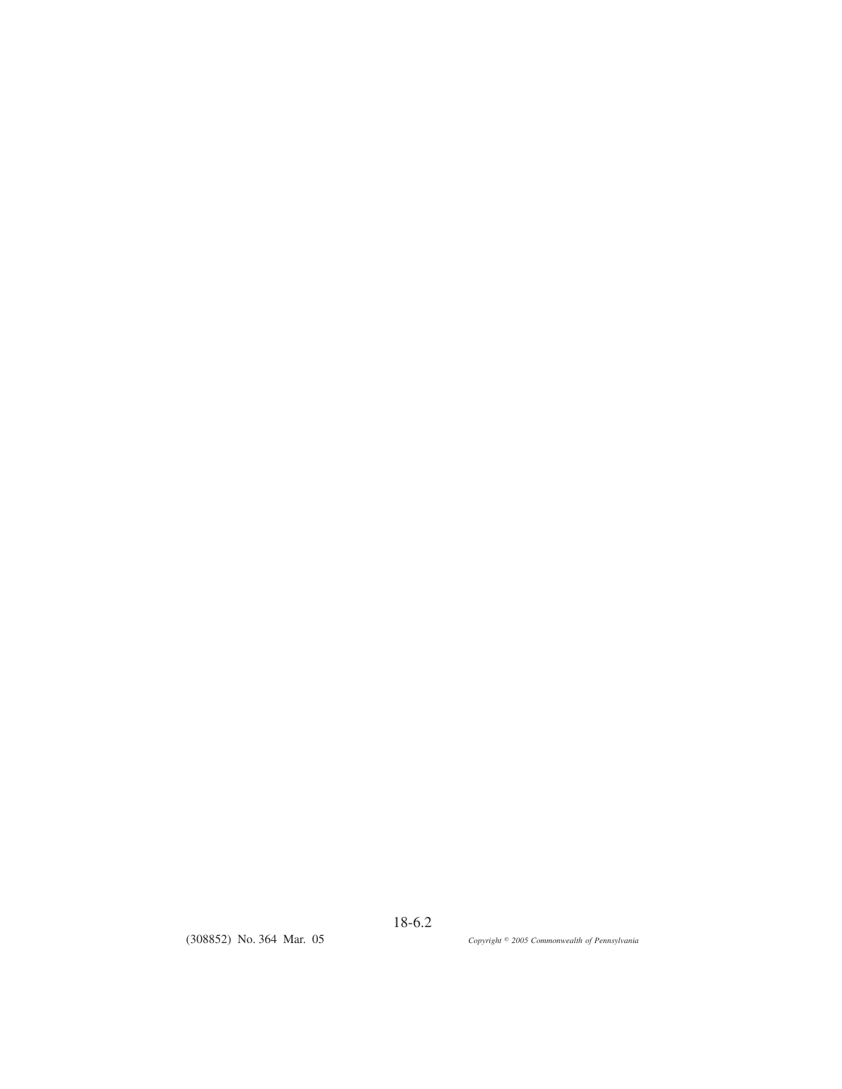(308852) No. 364 Mar. 05

*2005 Commonwealth of Pennsylvania*

# 18-6.2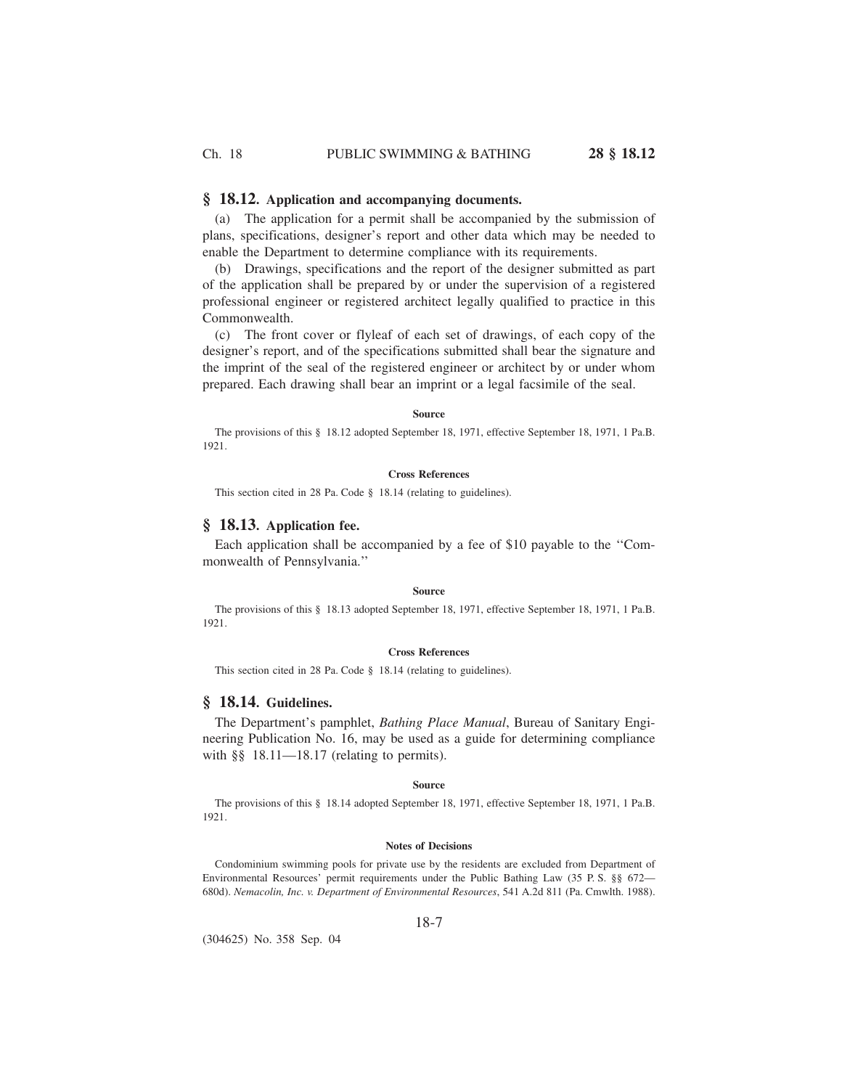### **§ 18.12. Application and accompanying documents.**

(a) The application for a permit shall be accompanied by the submission of plans, specifications, designer's report and other data which may be needed to enable the Department to determine compliance with its requirements.

(b) Drawings, specifications and the report of the designer submitted as part of the application shall be prepared by or under the supervision of a registered professional engineer or registered architect legally qualified to practice in this Commonwealth.

(c) The front cover or flyleaf of each set of drawings, of each copy of the designer's report, and of the specifications submitted shall bear the signature and the imprint of the seal of the registered engineer or architect by or under whom prepared. Each drawing shall bear an imprint or a legal facsimile of the seal.

### **Source**

The provisions of this § 18.12 adopted September 18, 1971, effective September 18, 1971, 1 Pa.B. 1921.

#### **Cross References**

This section cited in 28 Pa. Code § 18.14 (relating to guidelines).

# **§ 18.13. Application fee.**

Each application shall be accompanied by a fee of \$10 payable to the ''Commonwealth of Pennsylvania.''

### **Source**

The provisions of this § 18.13 adopted September 18, 1971, effective September 18, 1971, 1 Pa.B. 1921.

#### **Cross References**

This section cited in 28 Pa. Code § 18.14 (relating to guidelines).

# **§ 18.14. Guidelines.**

The Department's pamphlet, *Bathing Place Manual*, Bureau of Sanitary Engineering Publication No. 16, may be used as a guide for determining compliance with §§ 18.11—18.17 (relating to permits).

#### **Source**

The provisions of this § 18.14 adopted September 18, 1971, effective September 18, 1971, 1 Pa.B. 1921.

#### **Notes of Decisions**

Condominium swimming pools for private use by the residents are excluded from Department of Environmental Resources' permit requirements under the Public Bathing Law (35 P. S. §§ 672— 680d). *Nemacolin, Inc. v. Department of Environmental Resources*, 541 A.2d 811 (Pa. Cmwlth. 1988).

### 18-7

(304625) No. 358 Sep. 04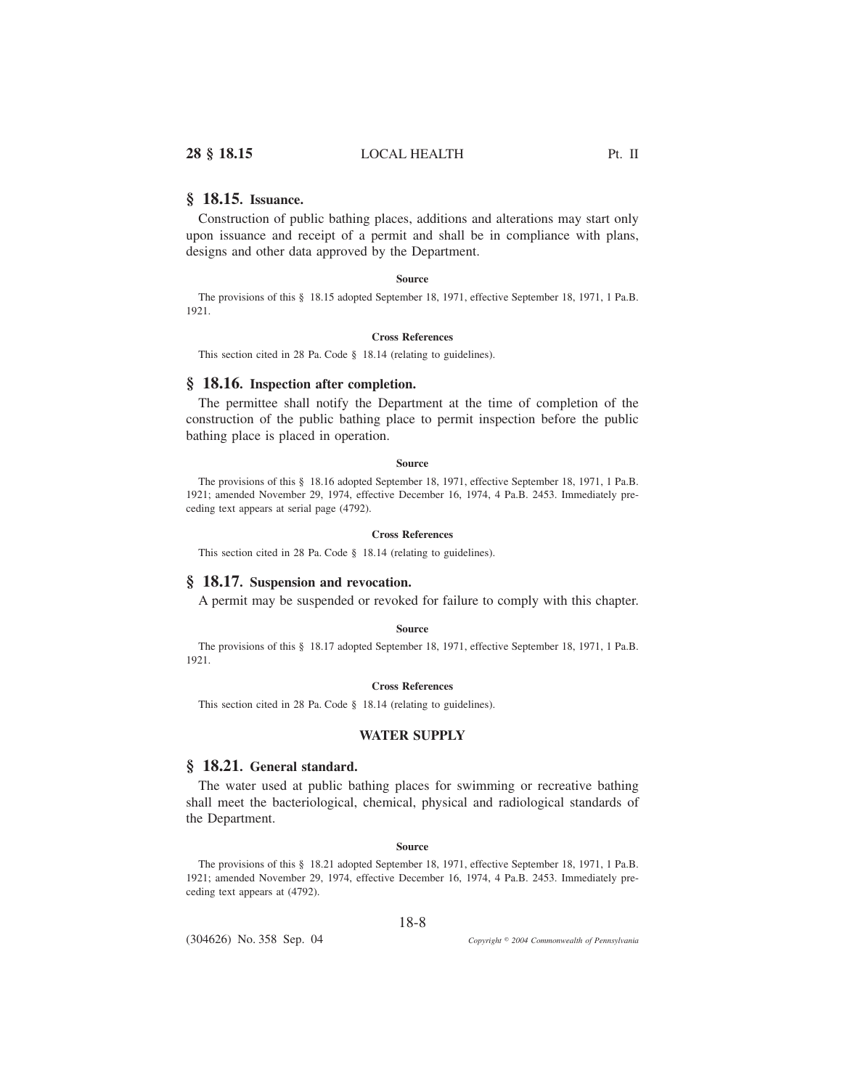# **28 § 18.15** LOCAL HEALTH Pt. II

# **§ 18.15. Issuance.**

Construction of public bathing places, additions and alterations may start only upon issuance and receipt of a permit and shall be in compliance with plans, designs and other data approved by the Department.

### **Source**

The provisions of this § 18.15 adopted September 18, 1971, effective September 18, 1971, 1 Pa.B. 1921.

#### **Cross References**

This section cited in 28 Pa. Code § 18.14 (relating to guidelines).

### **§ 18.16. Inspection after completion.**

The permittee shall notify the Department at the time of completion of the construction of the public bathing place to permit inspection before the public bathing place is placed in operation.

#### **Source**

The provisions of this § 18.16 adopted September 18, 1971, effective September 18, 1971, 1 Pa.B. 1921; amended November 29, 1974, effective December 16, 1974, 4 Pa.B. 2453. Immediately preceding text appears at serial page (4792).

### **Cross References**

This section cited in 28 Pa. Code § 18.14 (relating to guidelines).

# **§ 18.17. Suspension and revocation.**

A permit may be suspended or revoked for failure to comply with this chapter.

#### **Source**

The provisions of this § 18.17 adopted September 18, 1971, effective September 18, 1971, 1 Pa.B. 1921.

### **Cross References**

This section cited in 28 Pa. Code § 18.14 (relating to guidelines).

### **WATER SUPPLY**

# **§ 18.21. General standard.**

The water used at public bathing places for swimming or recreative bathing shall meet the bacteriological, chemical, physical and radiological standards of the Department.

#### **Source**

The provisions of this § 18.21 adopted September 18, 1971, effective September 18, 1971, 1 Pa.B. 1921; amended November 29, 1974, effective December 16, 1974, 4 Pa.B. 2453. Immediately preceding text appears at (4792).

18-8

(304626) No. 358 Sep. 04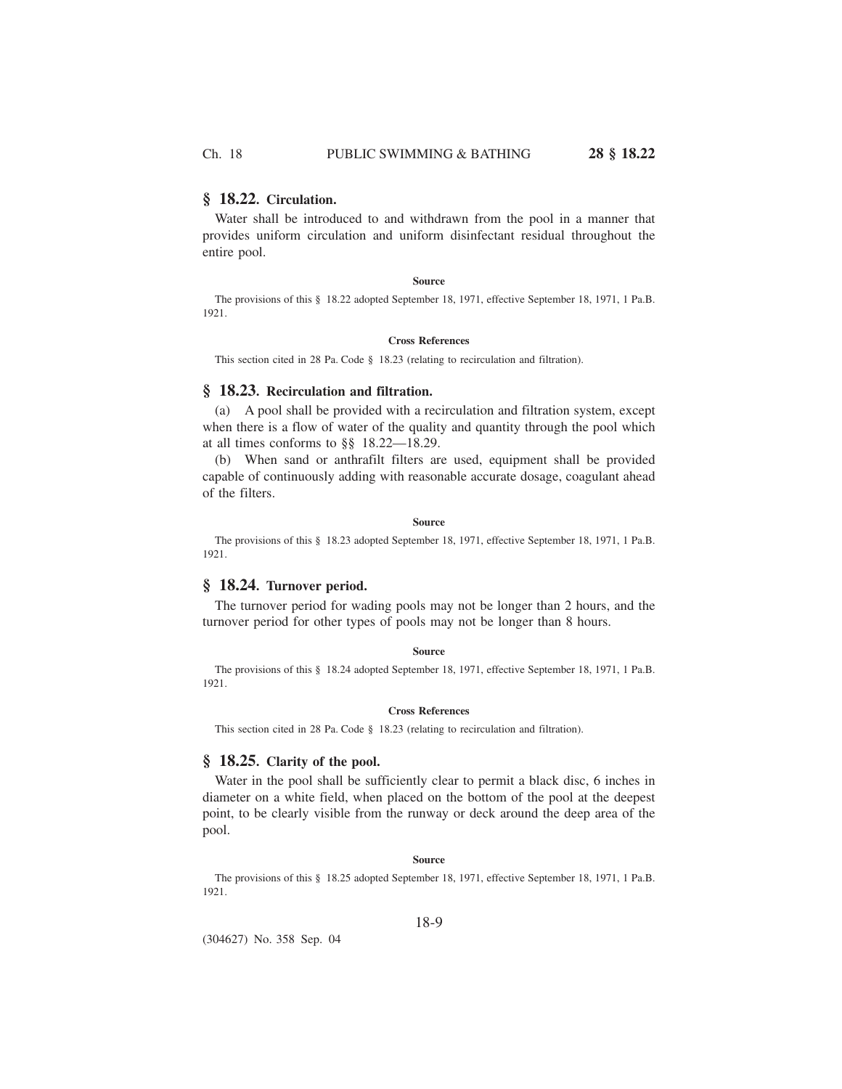# **§ 18.22. Circulation.**

Water shall be introduced to and withdrawn from the pool in a manner that provides uniform circulation and uniform disinfectant residual throughout the entire pool.

#### **Source**

The provisions of this § 18.22 adopted September 18, 1971, effective September 18, 1971, 1 Pa.B. 1921.

#### **Cross References**

This section cited in 28 Pa. Code § 18.23 (relating to recirculation and filtration).

# **§ 18.23. Recirculation and filtration.**

(a) A pool shall be provided with a recirculation and filtration system, except when there is a flow of water of the quality and quantity through the pool which at all times conforms to §§ 18.22—18.29.

(b) When sand or anthrafilt filters are used, equipment shall be provided capable of continuously adding with reasonable accurate dosage, coagulant ahead of the filters.

#### **Source**

The provisions of this § 18.23 adopted September 18, 1971, effective September 18, 1971, 1 Pa.B. 1921.

# **§ 18.24. Turnover period.**

The turnover period for wading pools may not be longer than 2 hours, and the turnover period for other types of pools may not be longer than 8 hours.

### **Source**

The provisions of this § 18.24 adopted September 18, 1971, effective September 18, 1971, 1 Pa.B. 1921.

#### **Cross References**

This section cited in 28 Pa. Code § 18.23 (relating to recirculation and filtration).

### **§ 18.25. Clarity of the pool.**

Water in the pool shall be sufficiently clear to permit a black disc, 6 inches in diameter on a white field, when placed on the bottom of the pool at the deepest point, to be clearly visible from the runway or deck around the deep area of the pool.

### **Source**

The provisions of this § 18.25 adopted September 18, 1971, effective September 18, 1971, 1 Pa.B. 1921.

18-9

(304627) No. 358 Sep. 04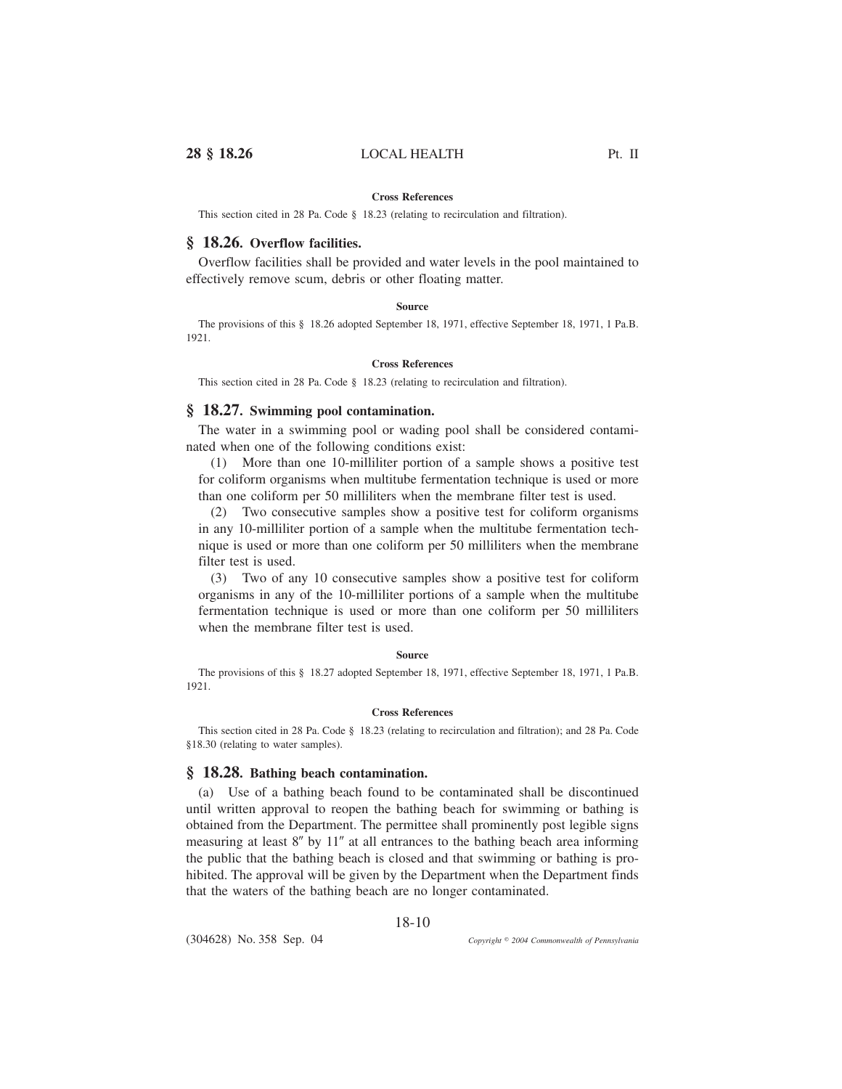# **28 § 18.26** LOCAL HEALTH Pt. II

#### **Cross References**

This section cited in 28 Pa. Code § 18.23 (relating to recirculation and filtration).

# **§ 18.26. Overflow facilities.**

Overflow facilities shall be provided and water levels in the pool maintained to effectively remove scum, debris or other floating matter.

#### **Source**

The provisions of this § 18.26 adopted September 18, 1971, effective September 18, 1971, 1 Pa.B. 1921.

### **Cross References**

This section cited in 28 Pa. Code § 18.23 (relating to recirculation and filtration).

# **§ 18.27. Swimming pool contamination.**

The water in a swimming pool or wading pool shall be considered contaminated when one of the following conditions exist:

(1) More than one 10-milliliter portion of a sample shows a positive test for coliform organisms when multitube fermentation technique is used or more than one coliform per 50 milliliters when the membrane filter test is used.

(2) Two consecutive samples show a positive test for coliform organisms in any 10-milliliter portion of a sample when the multitube fermentation technique is used or more than one coliform per 50 milliliters when the membrane filter test is used.

(3) Two of any 10 consecutive samples show a positive test for coliform organisms in any of the 10-milliliter portions of a sample when the multitube fermentation technique is used or more than one coliform per 50 milliliters when the membrane filter test is used.

#### **Source**

The provisions of this § 18.27 adopted September 18, 1971, effective September 18, 1971, 1 Pa.B. 1921.

#### **Cross References**

This section cited in 28 Pa. Code § 18.23 (relating to recirculation and filtration); and 28 Pa. Code §18.30 (relating to water samples).

### **§ 18.28. Bathing beach contamination.**

(a) Use of a bathing beach found to be contaminated shall be discontinued until written approval to reopen the bathing beach for swimming or bathing is obtained from the Department. The permittee shall prominently post legible signs measuring at least  $8''$  by  $11''$  at all entrances to the bathing beach area informing the public that the bathing beach is closed and that swimming or bathing is prohibited. The approval will be given by the Department when the Department finds that the waters of the bathing beach are no longer contaminated.

18-10

(304628) No. 358 Sep. 04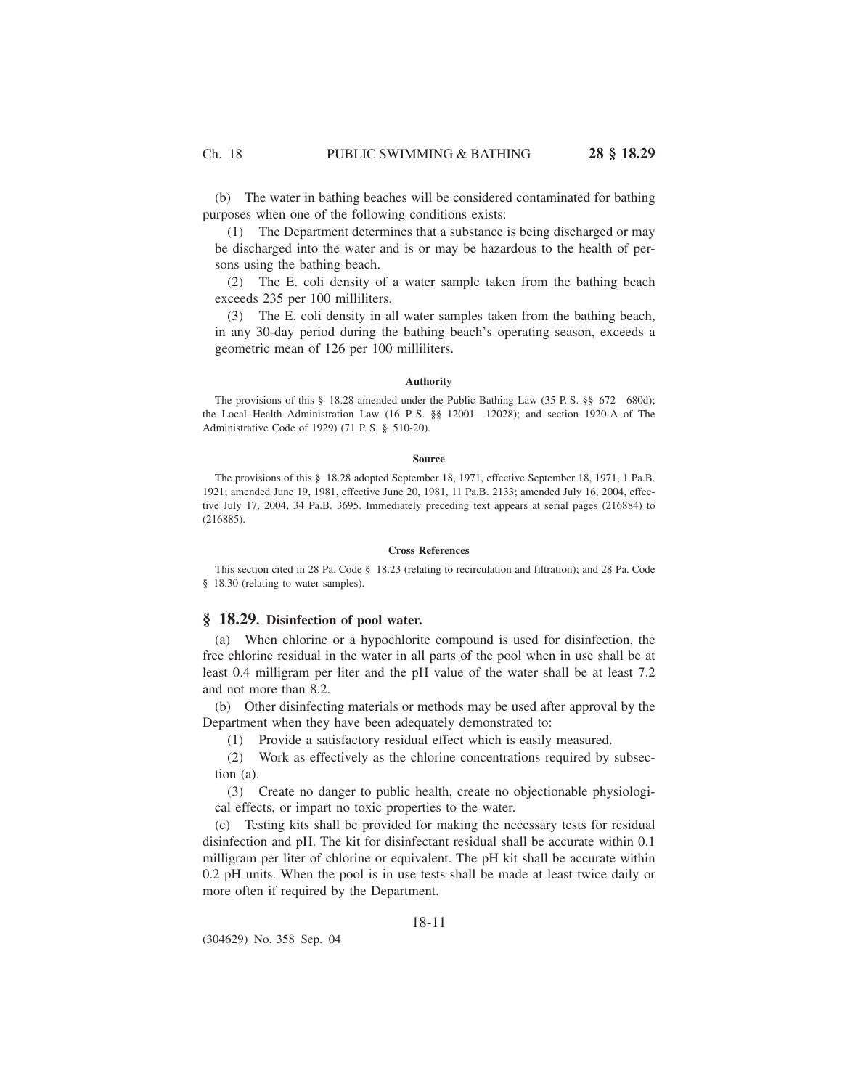(b) The water in bathing beaches will be considered contaminated for bathing purposes when one of the following conditions exists:

(1) The Department determines that a substance is being discharged or may be discharged into the water and is or may be hazardous to the health of persons using the bathing beach.

(2) The E. coli density of a water sample taken from the bathing beach exceeds 235 per 100 milliliters.

(3) The E. coli density in all water samples taken from the bathing beach, in any 30-day period during the bathing beach's operating season, exceeds a geometric mean of 126 per 100 milliliters.

#### **Authority**

The provisions of this § 18.28 amended under the Public Bathing Law (35 P. S. §§ 672—680d); the Local Health Administration Law (16 P.S. §§ 12001—12028); and section 1920-A of The Administrative Code of 1929) (71 P. S. § 510-20).

#### **Source**

The provisions of this § 18.28 adopted September 18, 1971, effective September 18, 1971, 1 Pa.B. 1921; amended June 19, 1981, effective June 20, 1981, 11 Pa.B. 2133; amended July 16, 2004, effective July 17, 2004, 34 Pa.B. 3695. Immediately preceding text appears at serial pages (216884) to (216885).

### **Cross References**

This section cited in 28 Pa. Code § 18.23 (relating to recirculation and filtration); and 28 Pa. Code § 18.30 (relating to water samples).

# **§ 18.29. Disinfection of pool water.**

(a) When chlorine or a hypochlorite compound is used for disinfection, the free chlorine residual in the water in all parts of the pool when in use shall be at least 0.4 milligram per liter and the pH value of the water shall be at least 7.2 and not more than 8.2.

(b) Other disinfecting materials or methods may be used after approval by the Department when they have been adequately demonstrated to:

(1) Provide a satisfactory residual effect which is easily measured.

(2) Work as effectively as the chlorine concentrations required by subsection (a).

(3) Create no danger to public health, create no objectionable physiological effects, or impart no toxic properties to the water.

(c) Testing kits shall be provided for making the necessary tests for residual disinfection and pH. The kit for disinfectant residual shall be accurate within 0.1 milligram per liter of chlorine or equivalent. The pH kit shall be accurate within 0.2 pH units. When the pool is in use tests shall be made at least twice daily or more often if required by the Department.

# 18-11

(304629) No. 358 Sep. 04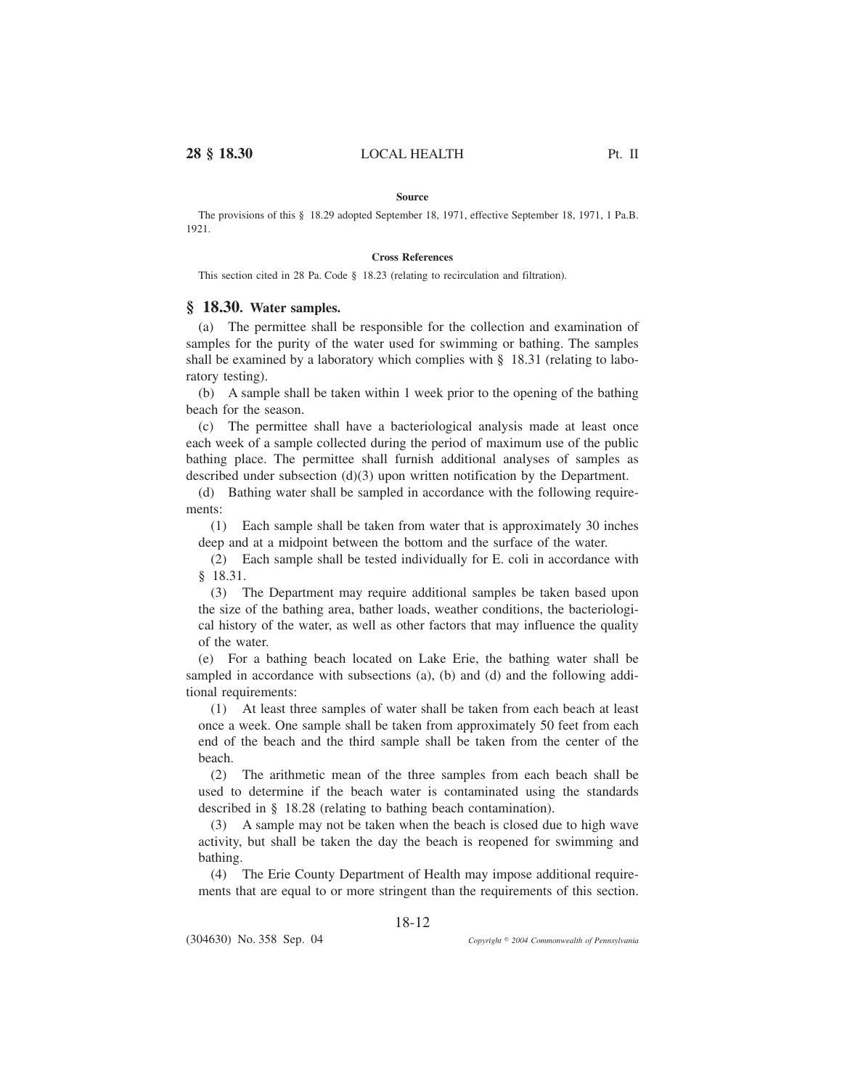The provisions of this § 18.29 adopted September 18, 1971, effective September 18, 1971, 1 Pa.B. 1921.

### **Cross References**

This section cited in 28 Pa. Code § 18.23 (relating to recirculation and filtration).

# **§ 18.30. Water samples.**

(a) The permittee shall be responsible for the collection and examination of samples for the purity of the water used for swimming or bathing. The samples shall be examined by a laboratory which complies with  $\S$  18.31 (relating to laboratory testing).

(b) A sample shall be taken within 1 week prior to the opening of the bathing beach for the season.

(c) The permittee shall have a bacteriological analysis made at least once each week of a sample collected during the period of maximum use of the public bathing place. The permittee shall furnish additional analyses of samples as described under subsection (d)(3) upon written notification by the Department.

(d) Bathing water shall be sampled in accordance with the following requirements:

(1) Each sample shall be taken from water that is approximately 30 inches deep and at a midpoint between the bottom and the surface of the water.

(2) Each sample shall be tested individually for E. coli in accordance with § 18.31.

(3) The Department may require additional samples be taken based upon the size of the bathing area, bather loads, weather conditions, the bacteriological history of the water, as well as other factors that may influence the quality of the water.

(e) For a bathing beach located on Lake Erie, the bathing water shall be sampled in accordance with subsections (a), (b) and (d) and the following additional requirements:

(1) At least three samples of water shall be taken from each beach at least once a week. One sample shall be taken from approximately 50 feet from each end of the beach and the third sample shall be taken from the center of the beach.

(2) The arithmetic mean of the three samples from each beach shall be used to determine if the beach water is contaminated using the standards described in § 18.28 (relating to bathing beach contamination).

(3) A sample may not be taken when the beach is closed due to high wave activity, but shall be taken the day the beach is reopened for swimming and bathing.

(4) The Erie County Department of Health may impose additional requirements that are equal to or more stringent than the requirements of this section.

18-12

(304630) No. 358 Sep. 04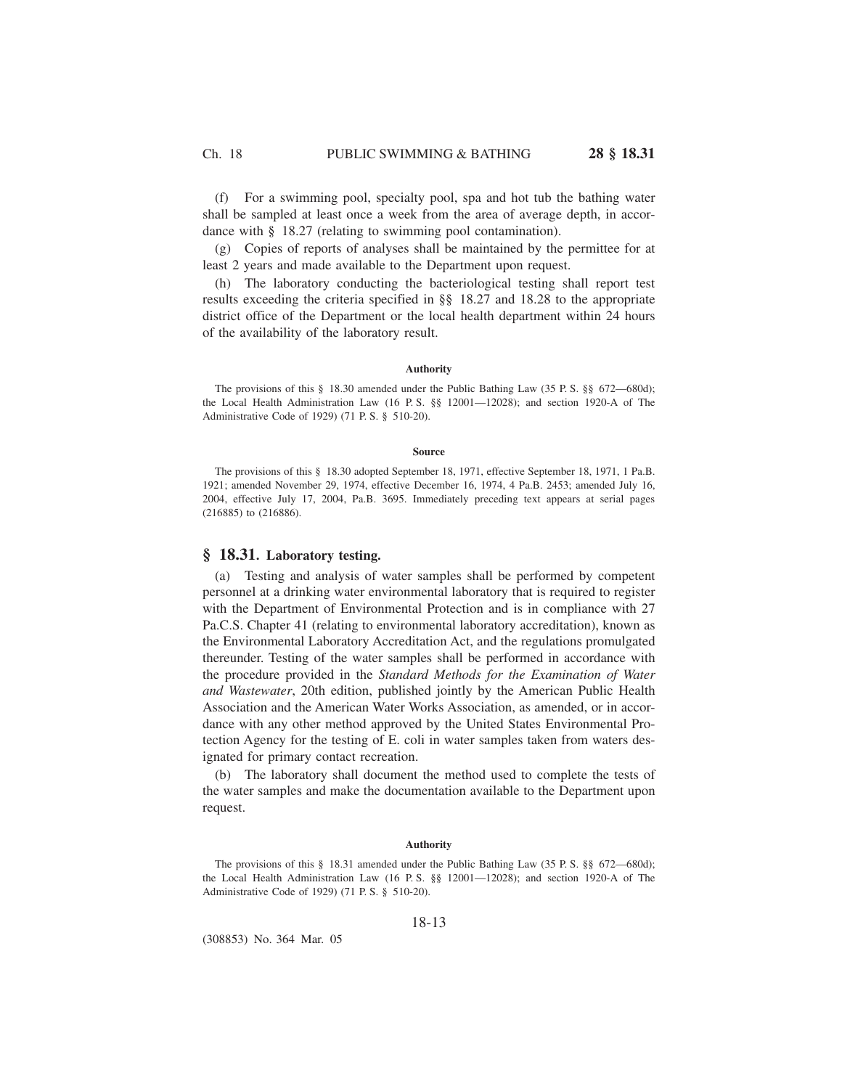(f) For a swimming pool, specialty pool, spa and hot tub the bathing water shall be sampled at least once a week from the area of average depth, in accordance with § 18.27 (relating to swimming pool contamination).

(g) Copies of reports of analyses shall be maintained by the permittee for at least 2 years and made available to the Department upon request.

(h) The laboratory conducting the bacteriological testing shall report test results exceeding the criteria specified in §§ 18.27 and 18.28 to the appropriate district office of the Department or the local health department within 24 hours of the availability of the laboratory result.

#### **Authority**

The provisions of this § 18.30 amended under the Public Bathing Law (35 P. S. §§ 672—680d); the Local Health Administration Law (16 P.S. §§ 12001-12028); and section 1920-A of The Administrative Code of 1929) (71 P. S. § 510-20).

#### **Source**

The provisions of this § 18.30 adopted September 18, 1971, effective September 18, 1971, 1 Pa.B. 1921; amended November 29, 1974, effective December 16, 1974, 4 Pa.B. 2453; amended July 16, 2004, effective July 17, 2004, Pa.B. 3695. Immediately preceding text appears at serial pages (216885) to (216886).

### **§ 18.31. Laboratory testing.**

(a) Testing and analysis of water samples shall be performed by competent personnel at a drinking water environmental laboratory that is required to register with the Department of Environmental Protection and is in compliance with 27 Pa.C.S. Chapter 41 (relating to environmental laboratory accreditation), known as the Environmental Laboratory Accreditation Act, and the regulations promulgated thereunder. Testing of the water samples shall be performed in accordance with the procedure provided in the *Standard Methods for the Examination of Water and Wastewater*, 20th edition, published jointly by the American Public Health Association and the American Water Works Association, as amended, or in accordance with any other method approved by the United States Environmental Protection Agency for the testing of E. coli in water samples taken from waters designated for primary contact recreation.

(b) The laboratory shall document the method used to complete the tests of the water samples and make the documentation available to the Department upon request.

#### **Authority**

The provisions of this § 18.31 amended under the Public Bathing Law (35 P. S. §§ 672—680d); the Local Health Administration Law (16 P.S. §§ 12001-12028); and section 1920-A of The Administrative Code of 1929) (71 P. S. § 510-20).

18-13

(308853) No. 364 Mar. 05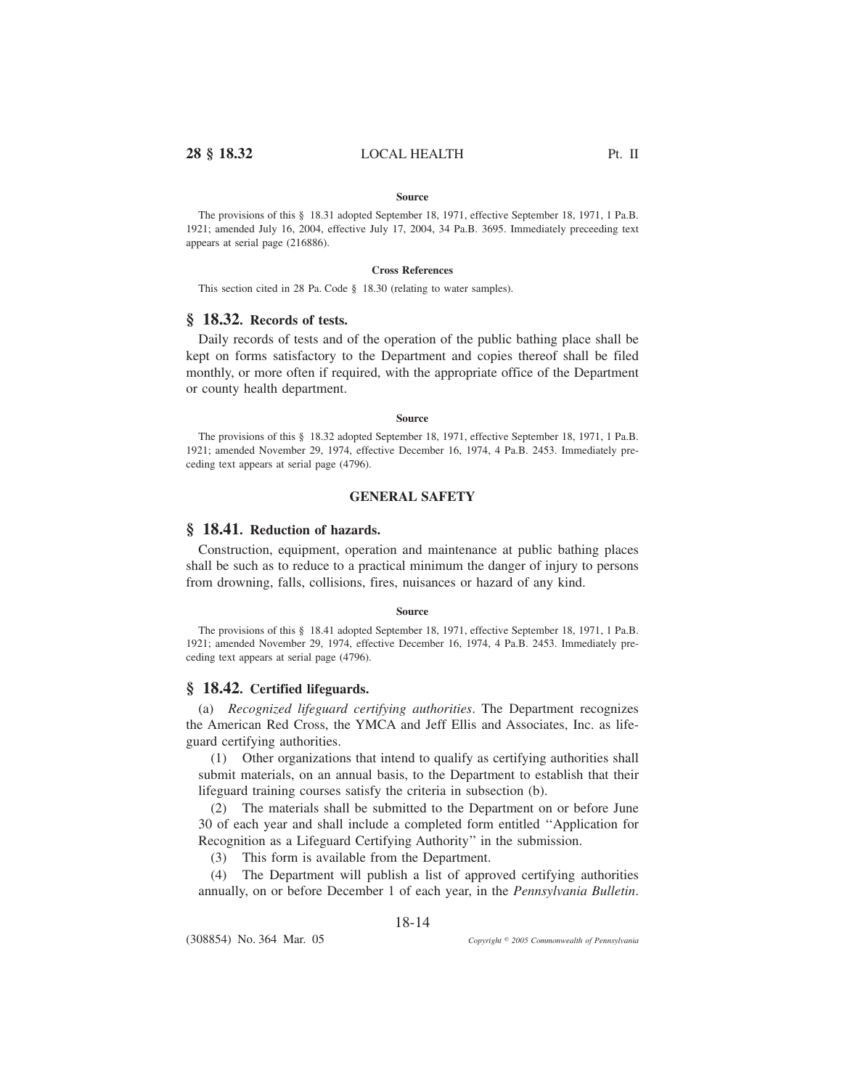# **28 § 18.32** LOCAL HEALTH Pt. II

### **Source**

The provisions of this § 18.31 adopted September 18, 1971, effective September 18, 1971, 1 Pa.B. 1921; amended July 16, 2004, effective July 17, 2004, 34 Pa.B. 3695. Immediately preceeding text appears at serial page (216886).

### **Cross References**

This section cited in 28 Pa. Code § 18.30 (relating to water samples).

# **§ 18.32. Records of tests.**

Daily records of tests and of the operation of the public bathing place shall be kept on forms satisfactory to the Department and copies thereof shall be filed monthly, or more often if required, with the appropriate office of the Department or county health department.

#### **Source**

The provisions of this § 18.32 adopted September 18, 1971, effective September 18, 1971, 1 Pa.B. 1921; amended November 29, 1974, effective December 16, 1974, 4 Pa.B. 2453. Immediately preceding text appears at serial page (4796).

### **GENERAL SAFETY**

# **§ 18.41. Reduction of hazards.**

Construction, equipment, operation and maintenance at public bathing places shall be such as to reduce to a practical minimum the danger of injury to persons from drowning, falls, collisions, fires, nuisances or hazard of any kind.

#### **Source**

The provisions of this § 18.41 adopted September 18, 1971, effective September 18, 1971, 1 Pa.B. 1921; amended November 29, 1974, effective December 16, 1974, 4 Pa.B. 2453. Immediately preceding text appears at serial page (4796).

### **§ 18.42. Certified lifeguards.**

(a) *Recognized lifeguard certifying authorities*. The Department recognizes the American Red Cross, the YMCA and Jeff Ellis and Associates, Inc. as lifeguard certifying authorities.

(1) Other organizations that intend to qualify as certifying authorities shall submit materials, on an annual basis, to the Department to establish that their lifeguard training courses satisfy the criteria in subsection (b).

(2) The materials shall be submitted to the Department on or before June 30 of each year and shall include a completed form entitled ''Application for Recognition as a Lifeguard Certifying Authority'' in the submission.

(3) This form is available from the Department.

(4) The Department will publish a list of approved certifying authorities annually, on or before December 1 of each year, in the *Pennsylvania Bulletin*.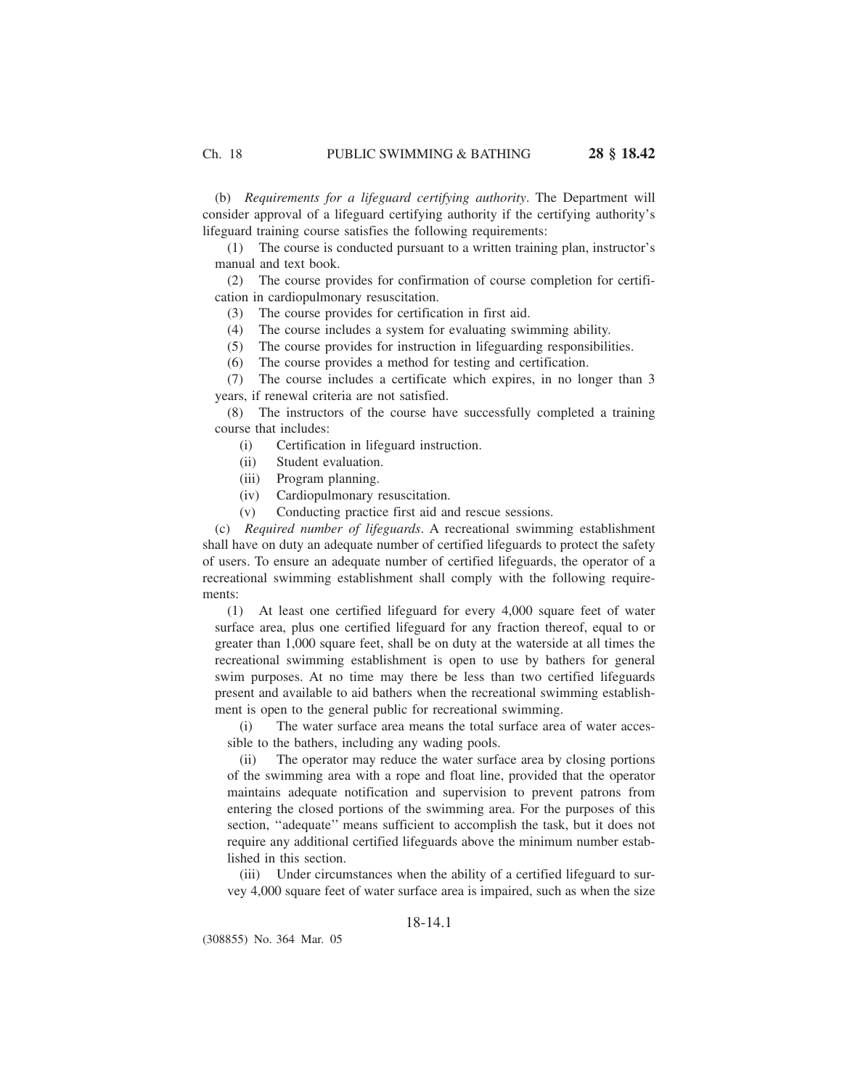(b) *Requirements for a lifeguard certifying authority*. The Department will consider approval of a lifeguard certifying authority if the certifying authority's lifeguard training course satisfies the following requirements:

(1) The course is conducted pursuant to a written training plan, instructor's manual and text book.

(2) The course provides for confirmation of course completion for certification in cardiopulmonary resuscitation.

(3) The course provides for certification in first aid.

(4) The course includes a system for evaluating swimming ability.

(5) The course provides for instruction in lifeguarding responsibilities.

(6) The course provides a method for testing and certification.

(7) The course includes a certificate which expires, in no longer than 3 years, if renewal criteria are not satisfied.

(8) The instructors of the course have successfully completed a training course that includes:

- (i) Certification in lifeguard instruction.
- (ii) Student evaluation.
- (iii) Program planning.
- (iv) Cardiopulmonary resuscitation.
- (v) Conducting practice first aid and rescue sessions.

(c) *Required number of lifeguards*. A recreational swimming establishment shall have on duty an adequate number of certified lifeguards to protect the safety of users. To ensure an adequate number of certified lifeguards, the operator of a recreational swimming establishment shall comply with the following requirements:

(1) At least one certified lifeguard for every 4,000 square feet of water surface area, plus one certified lifeguard for any fraction thereof, equal to or greater than 1,000 square feet, shall be on duty at the waterside at all times the recreational swimming establishment is open to use by bathers for general swim purposes. At no time may there be less than two certified lifeguards present and available to aid bathers when the recreational swimming establishment is open to the general public for recreational swimming.

(i) The water surface area means the total surface area of water accessible to the bathers, including any wading pools.

(ii) The operator may reduce the water surface area by closing portions of the swimming area with a rope and float line, provided that the operator maintains adequate notification and supervision to prevent patrons from entering the closed portions of the swimming area. For the purposes of this section, ''adequate'' means sufficient to accomplish the task, but it does not require any additional certified lifeguards above the minimum number established in this section.

(iii) Under circumstances when the ability of a certified lifeguard to survey 4,000 square feet of water surface area is impaired, such as when the size

# 18-14.1

(308855) No. 364 Mar. 05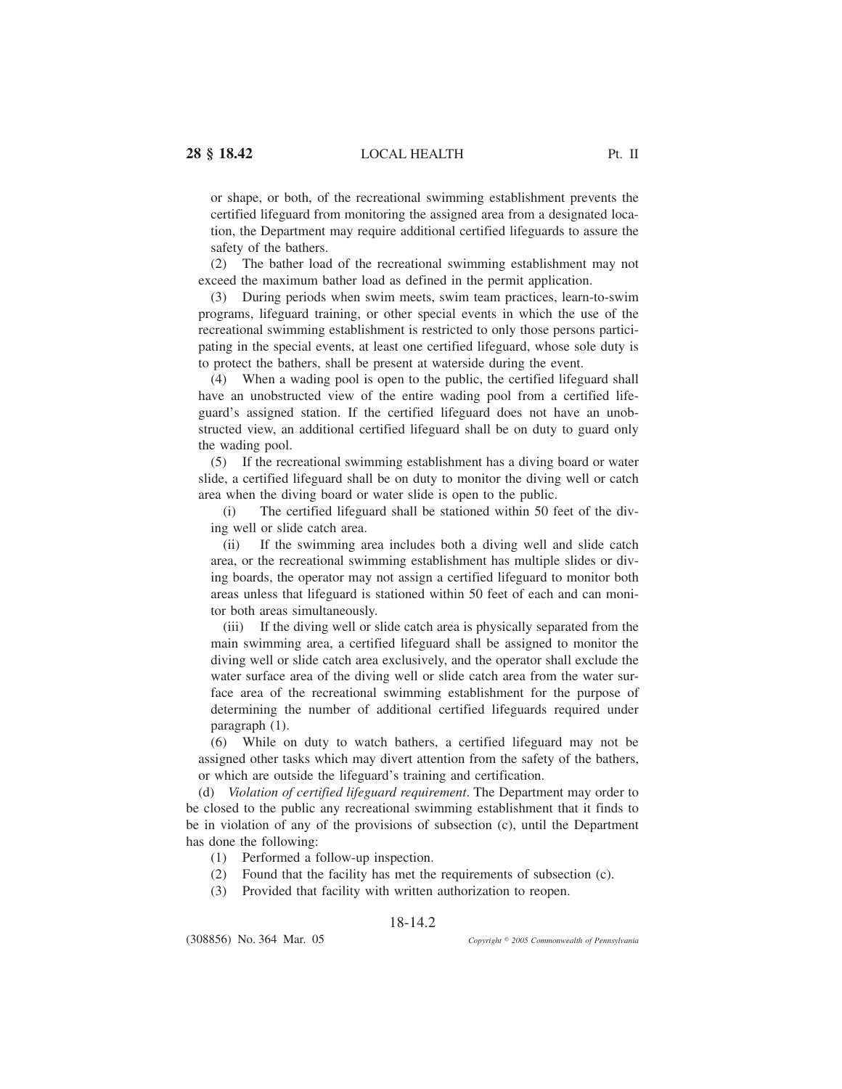or shape, or both, of the recreational swimming establishment prevents the certified lifeguard from monitoring the assigned area from a designated location, the Department may require additional certified lifeguards to assure the safety of the bathers.

(2) The bather load of the recreational swimming establishment may not exceed the maximum bather load as defined in the permit application.

(3) During periods when swim meets, swim team practices, learn-to-swim programs, lifeguard training, or other special events in which the use of the recreational swimming establishment is restricted to only those persons participating in the special events, at least one certified lifeguard, whose sole duty is to protect the bathers, shall be present at waterside during the event.

(4) When a wading pool is open to the public, the certified lifeguard shall have an unobstructed view of the entire wading pool from a certified lifeguard's assigned station. If the certified lifeguard does not have an unobstructed view, an additional certified lifeguard shall be on duty to guard only the wading pool.

(5) If the recreational swimming establishment has a diving board or water slide, a certified lifeguard shall be on duty to monitor the diving well or catch area when the diving board or water slide is open to the public.

(i) The certified lifeguard shall be stationed within 50 feet of the diving well or slide catch area.

(ii) If the swimming area includes both a diving well and slide catch area, or the recreational swimming establishment has multiple slides or diving boards, the operator may not assign a certified lifeguard to monitor both areas unless that lifeguard is stationed within 50 feet of each and can monitor both areas simultaneously.

(iii) If the diving well or slide catch area is physically separated from the main swimming area, a certified lifeguard shall be assigned to monitor the diving well or slide catch area exclusively, and the operator shall exclude the water surface area of the diving well or slide catch area from the water surface area of the recreational swimming establishment for the purpose of determining the number of additional certified lifeguards required under paragraph (1).

(6) While on duty to watch bathers, a certified lifeguard may not be assigned other tasks which may divert attention from the safety of the bathers, or which are outside the lifeguard's training and certification.

(d) *Violation of certified lifeguard requirement*. The Department may order to be closed to the public any recreational swimming establishment that it finds to be in violation of any of the provisions of subsection (c), until the Department has done the following:

- (1) Performed a follow-up inspection.
- (2) Found that the facility has met the requirements of subsection (c).
- (3) Provided that facility with written authorization to reopen.

# 18-14.2

(308856) No. 364 Mar. 05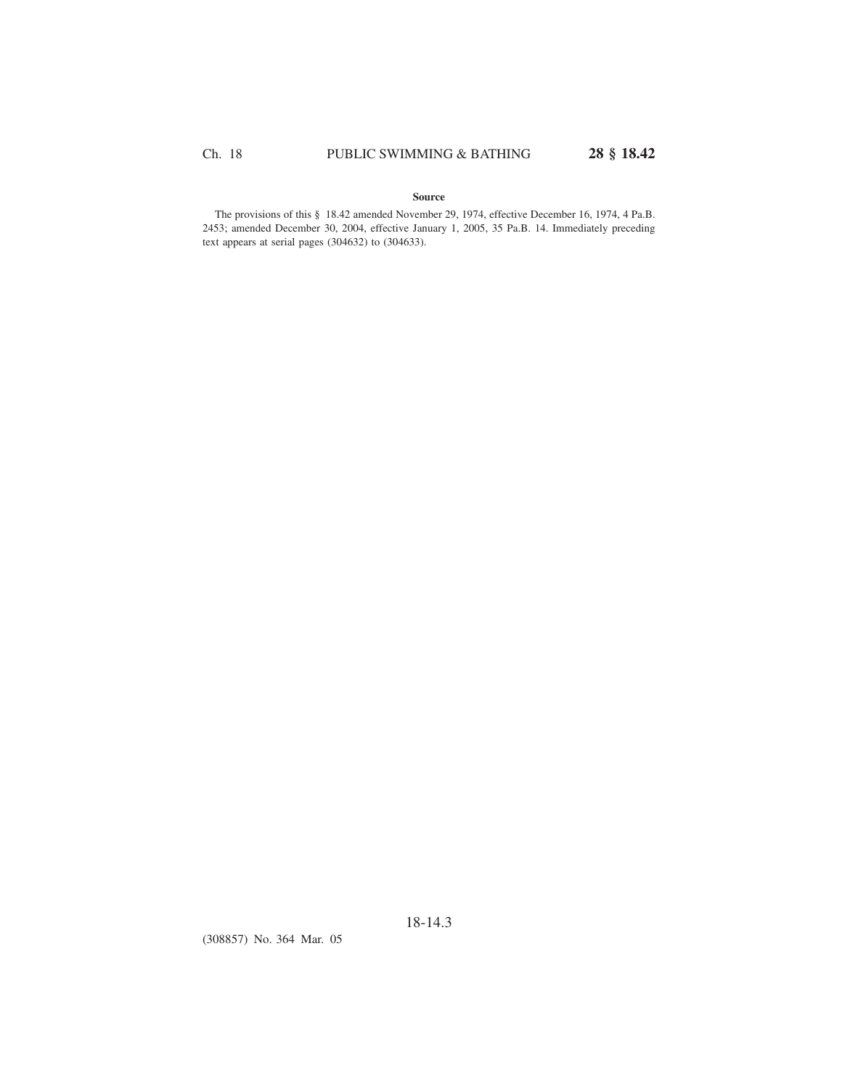The provisions of this § 18.42 amended November 29, 1974, effective December 16, 1974, 4 Pa.B. 2453; amended December 30, 2004, effective January 1, 2005, 35 Pa.B. 14. Immediately preceding text appears at serial pages (304632) to (304633).

(308857) No. 364 Mar. 05

18-14.3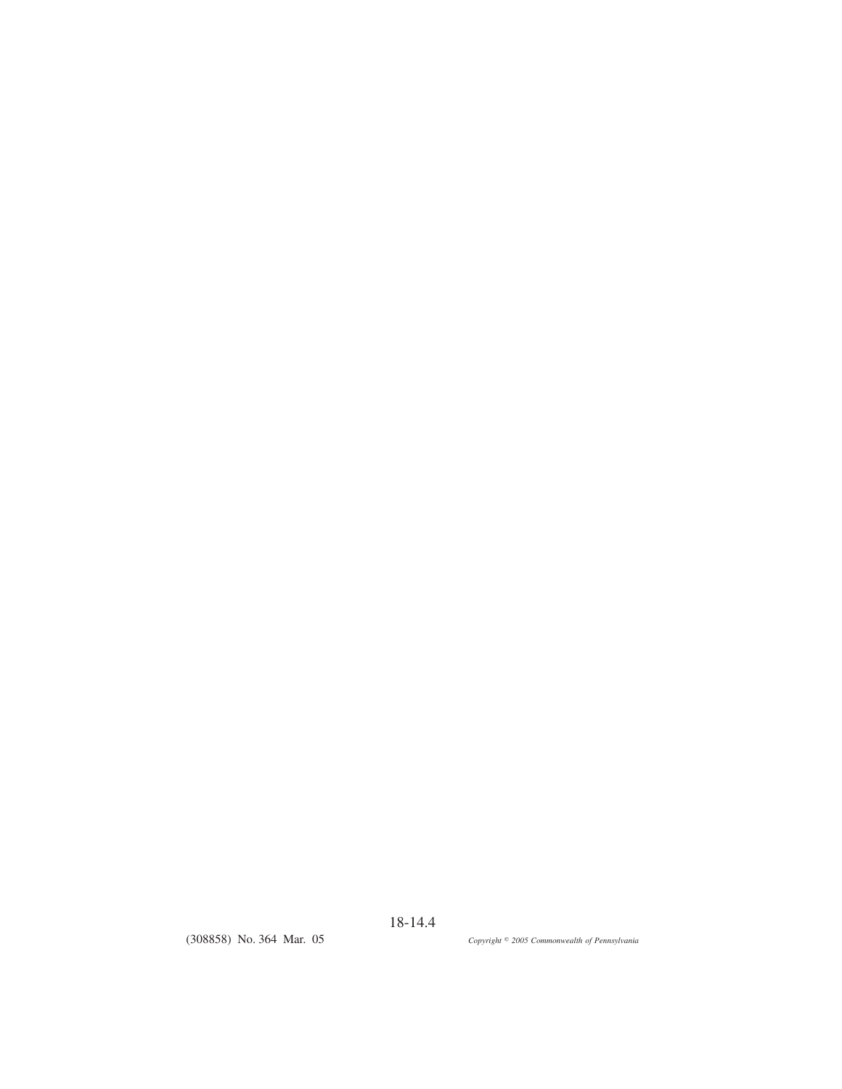(308858) No. 364 Mar. 05

*2005 Commonwealth of Pennsylvania*

18-14.4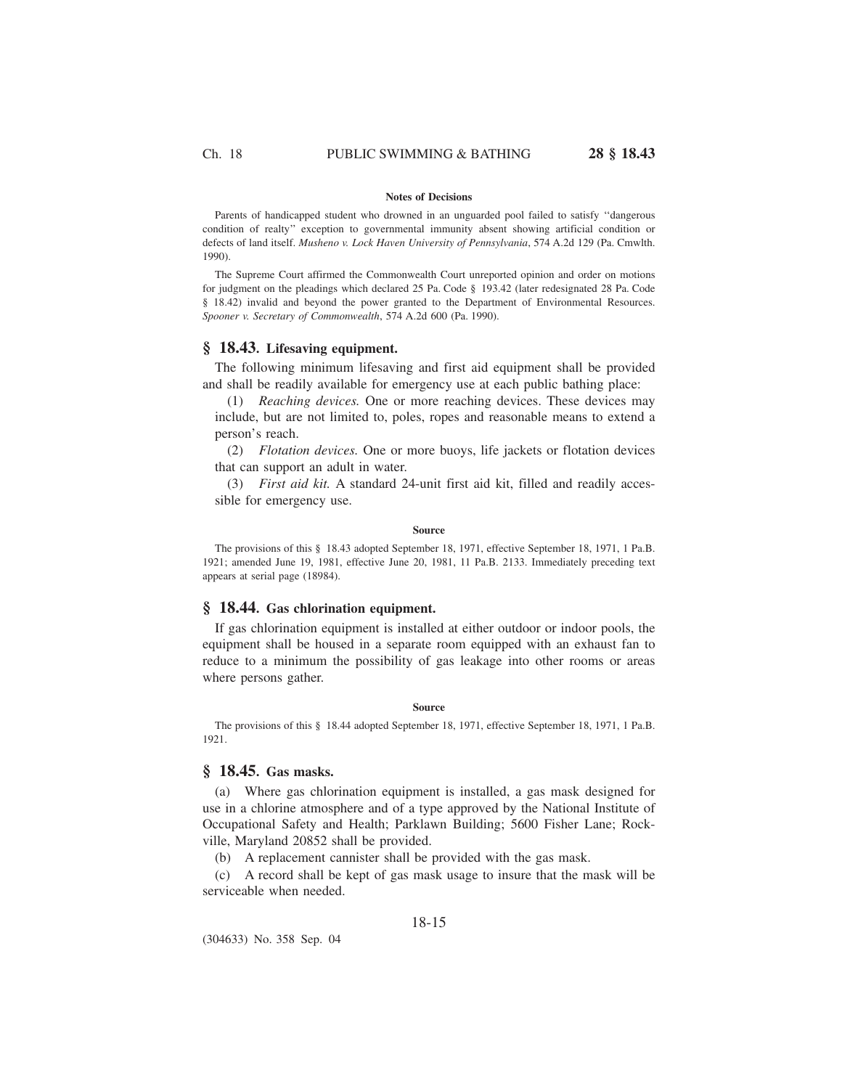#### **Notes of Decisions**

Parents of handicapped student who drowned in an unguarded pool failed to satisfy ''dangerous condition of realty'' exception to governmental immunity absent showing artificial condition or defects of land itself. *Musheno v. Lock Haven University of Pennsylvania*, 574 A.2d 129 (Pa. Cmwlth. 1990).

The Supreme Court affirmed the Commonwealth Court unreported opinion and order on motions for judgment on the pleadings which declared 25 Pa. Code § 193.42 (later redesignated 28 Pa. Code § 18.42) invalid and beyond the power granted to the Department of Environmental Resources. *Spooner v. Secretary of Commonwealth*, 574 A.2d 600 (Pa. 1990).

### **§ 18.43. Lifesaving equipment.**

The following minimum lifesaving and first aid equipment shall be provided and shall be readily available for emergency use at each public bathing place:

(1) *Reaching devices.* One or more reaching devices. These devices may include, but are not limited to, poles, ropes and reasonable means to extend a person's reach.

(2) *Flotation devices.* One or more buoys, life jackets or flotation devices that can support an adult in water.

(3) *First aid kit.* A standard 24-unit first aid kit, filled and readily accessible for emergency use.

#### **Source**

The provisions of this § 18.43 adopted September 18, 1971, effective September 18, 1971, 1 Pa.B. 1921; amended June 19, 1981, effective June 20, 1981, 11 Pa.B. 2133. Immediately preceding text appears at serial page (18984).

### **§ 18.44. Gas chlorination equipment.**

If gas chlorination equipment is installed at either outdoor or indoor pools, the equipment shall be housed in a separate room equipped with an exhaust fan to reduce to a minimum the possibility of gas leakage into other rooms or areas where persons gather.

#### **Source**

The provisions of this § 18.44 adopted September 18, 1971, effective September 18, 1971, 1 Pa.B. 1921.

# **§ 18.45. Gas masks.**

(a) Where gas chlorination equipment is installed, a gas mask designed for use in a chlorine atmosphere and of a type approved by the National Institute of Occupational Safety and Health; Parklawn Building; 5600 Fisher Lane; Rockville, Maryland 20852 shall be provided.

(b) A replacement cannister shall be provided with the gas mask.

(c) A record shall be kept of gas mask usage to insure that the mask will be serviceable when needed.

# 18-15

(304633) No. 358 Sep. 04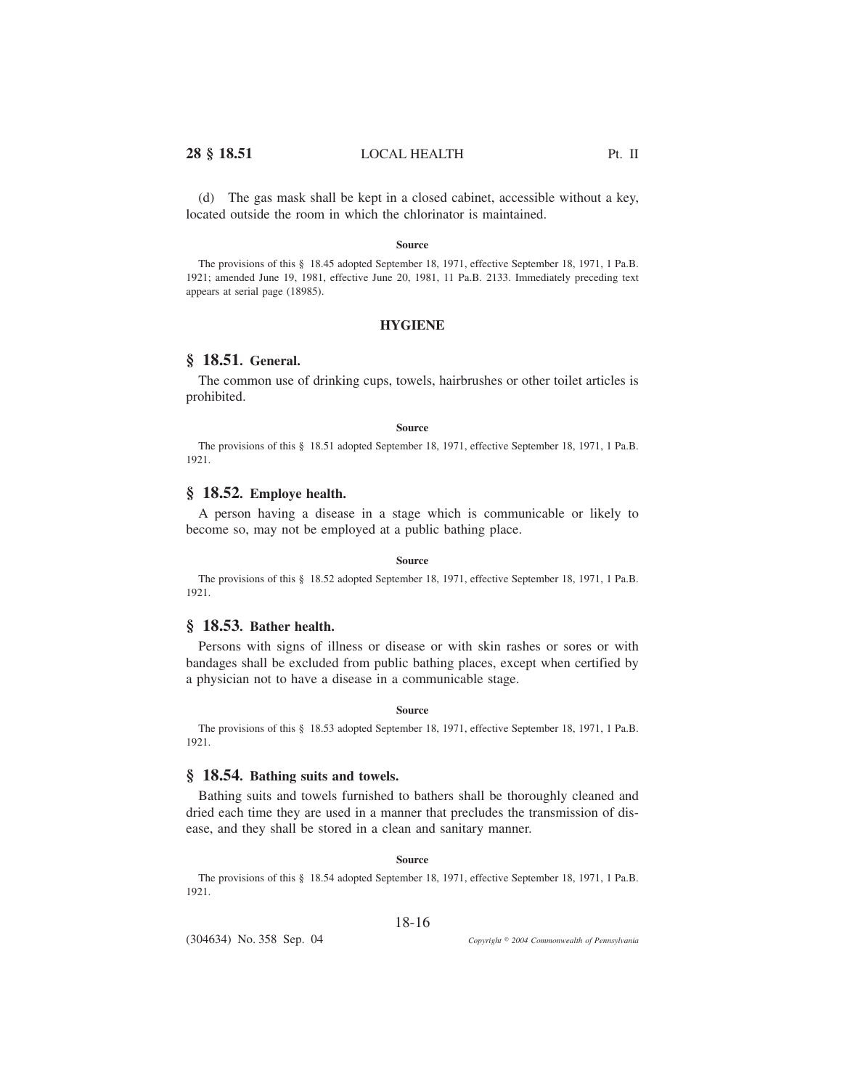# **28 § 18.51** LOCAL HEALTH Pt. II

(d) The gas mask shall be kept in a closed cabinet, accessible without a key, located outside the room in which the chlorinator is maintained.

#### **Source**

The provisions of this § 18.45 adopted September 18, 1971, effective September 18, 1971, 1 Pa.B. 1921; amended June 19, 1981, effective June 20, 1981, 11 Pa.B. 2133. Immediately preceding text appears at serial page (18985).

# **HYGIENE**

# **§ 18.51. General.**

The common use of drinking cups, towels, hairbrushes or other toilet articles is prohibited.

#### **Source**

The provisions of this § 18.51 adopted September 18, 1971, effective September 18, 1971, 1 Pa.B. 1921.

# **§ 18.52. Employe health.**

A person having a disease in a stage which is communicable or likely to become so, may not be employed at a public bathing place.

#### **Source**

The provisions of this § 18.52 adopted September 18, 1971, effective September 18, 1971, 1 Pa.B. 1921.

# **§ 18.53. Bather health.**

Persons with signs of illness or disease or with skin rashes or sores or with bandages shall be excluded from public bathing places, except when certified by a physician not to have a disease in a communicable stage.

#### **Source**

The provisions of this § 18.53 adopted September 18, 1971, effective September 18, 1971, 1 Pa.B. 1921.

### **§ 18.54. Bathing suits and towels.**

Bathing suits and towels furnished to bathers shall be thoroughly cleaned and dried each time they are used in a manner that precludes the transmission of disease, and they shall be stored in a clean and sanitary manner.

### **Source**

The provisions of this § 18.54 adopted September 18, 1971, effective September 18, 1971, 1 Pa.B. 1921.

### 18-16

(304634) No. 358 Sep. 04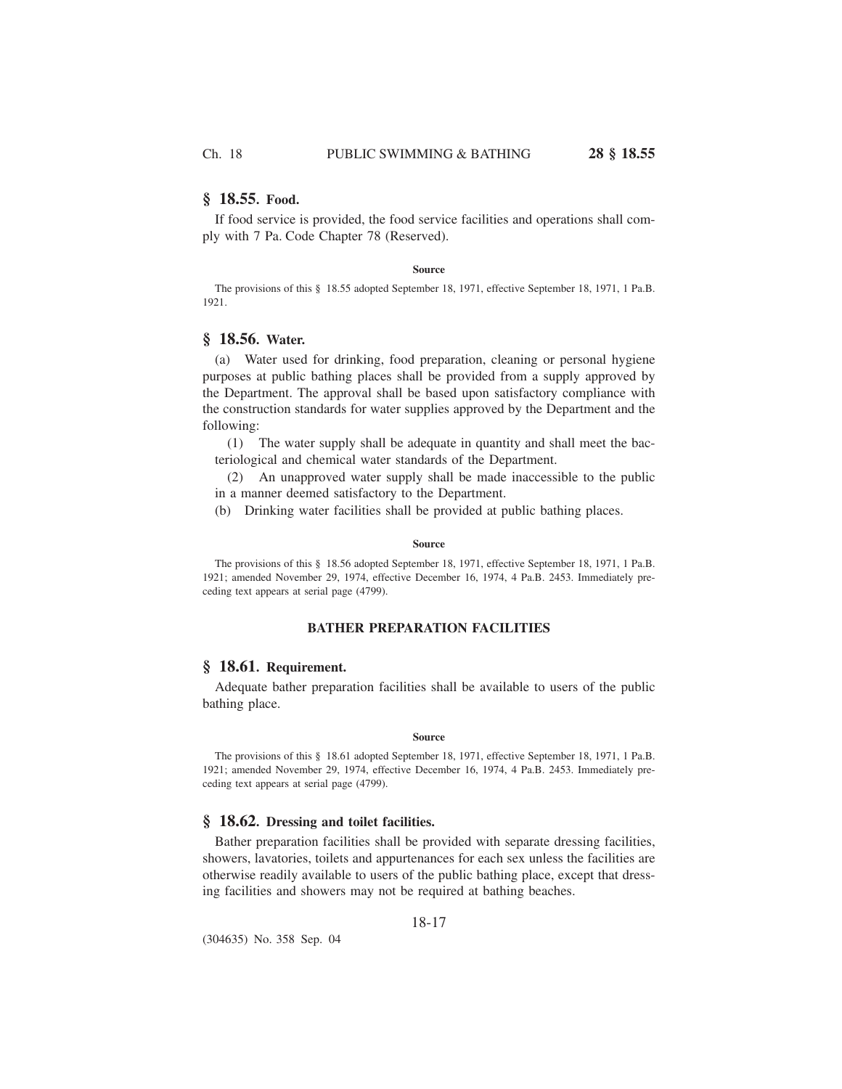# **§ 18.55. Food.**

If food service is provided, the food service facilities and operations shall comply with 7 Pa. Code Chapter 78 (Reserved).

### **Source**

The provisions of this § 18.55 adopted September 18, 1971, effective September 18, 1971, 1 Pa.B. 1921.

# **§ 18.56. Water.**

(a) Water used for drinking, food preparation, cleaning or personal hygiene purposes at public bathing places shall be provided from a supply approved by the Department. The approval shall be based upon satisfactory compliance with the construction standards for water supplies approved by the Department and the following:

(1) The water supply shall be adequate in quantity and shall meet the bacteriological and chemical water standards of the Department.

(2) An unapproved water supply shall be made inaccessible to the public in a manner deemed satisfactory to the Department.

(b) Drinking water facilities shall be provided at public bathing places.

#### **Source**

The provisions of this § 18.56 adopted September 18, 1971, effective September 18, 1971, 1 Pa.B. 1921; amended November 29, 1974, effective December 16, 1974, 4 Pa.B. 2453. Immediately preceding text appears at serial page (4799).

# **BATHER PREPARATION FACILITIES**

### **§ 18.61. Requirement.**

Adequate bather preparation facilities shall be available to users of the public bathing place.

#### **Source**

The provisions of this § 18.61 adopted September 18, 1971, effective September 18, 1971, 1 Pa.B. 1921; amended November 29, 1974, effective December 16, 1974, 4 Pa.B. 2453. Immediately preceding text appears at serial page (4799).

### **§ 18.62. Dressing and toilet facilities.**

Bather preparation facilities shall be provided with separate dressing facilities, showers, lavatories, toilets and appurtenances for each sex unless the facilities are otherwise readily available to users of the public bathing place, except that dressing facilities and showers may not be required at bathing beaches.

### 18-17

(304635) No. 358 Sep. 04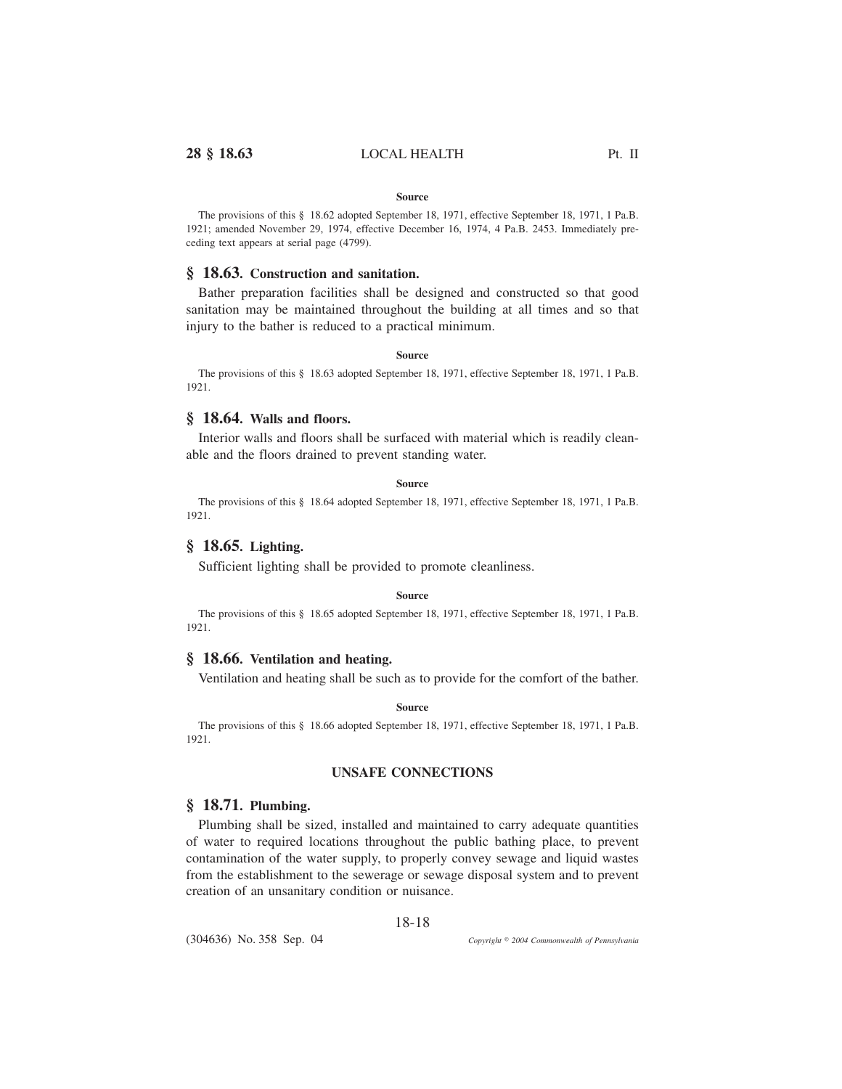# **28 § 18.63** LOCAL HEALTH Pt. II

### **Source**

The provisions of this § 18.62 adopted September 18, 1971, effective September 18, 1971, 1 Pa.B. 1921; amended November 29, 1974, effective December 16, 1974, 4 Pa.B. 2453. Immediately preceding text appears at serial page (4799).

# **§ 18.63. Construction and sanitation.**

Bather preparation facilities shall be designed and constructed so that good sanitation may be maintained throughout the building at all times and so that injury to the bather is reduced to a practical minimum.

#### **Source**

The provisions of this § 18.63 adopted September 18, 1971, effective September 18, 1971, 1 Pa.B. 1921.

# **§ 18.64. Walls and floors.**

Interior walls and floors shall be surfaced with material which is readily cleanable and the floors drained to prevent standing water.

#### **Source**

The provisions of this § 18.64 adopted September 18, 1971, effective September 18, 1971, 1 Pa.B. 1921.

# **§ 18.65. Lighting.**

Sufficient lighting shall be provided to promote cleanliness.

#### **Source**

The provisions of this § 18.65 adopted September 18, 1971, effective September 18, 1971, 1 Pa.B. 1921.

# **§ 18.66. Ventilation and heating.**

Ventilation and heating shall be such as to provide for the comfort of the bather.

#### **Source**

The provisions of this § 18.66 adopted September 18, 1971, effective September 18, 1971, 1 Pa.B. 1921.

### **UNSAFE CONNECTIONS**

# **§ 18.71. Plumbing.**

Plumbing shall be sized, installed and maintained to carry adequate quantities of water to required locations throughout the public bathing place, to prevent contamination of the water supply, to properly convey sewage and liquid wastes from the establishment to the sewerage or sewage disposal system and to prevent creation of an unsanitary condition or nuisance.

### 18-18

(304636) No. 358 Sep. 04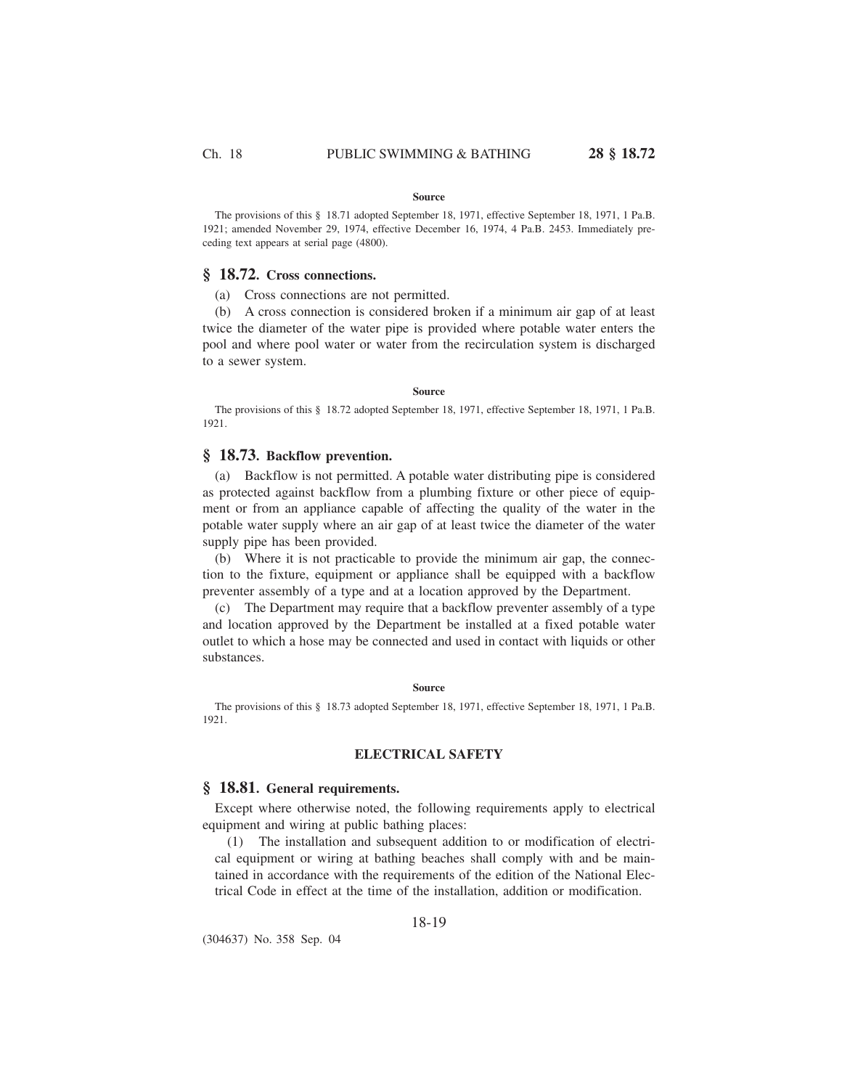The provisions of this § 18.71 adopted September 18, 1971, effective September 18, 1971, 1 Pa.B. 1921; amended November 29, 1974, effective December 16, 1974, 4 Pa.B. 2453. Immediately preceding text appears at serial page (4800).

### **§ 18.72. Cross connections.**

(a) Cross connections are not permitted.

(b) A cross connection is considered broken if a minimum air gap of at least twice the diameter of the water pipe is provided where potable water enters the pool and where pool water or water from the recirculation system is discharged to a sewer system.

#### **Source**

The provisions of this § 18.72 adopted September 18, 1971, effective September 18, 1971, 1 Pa.B. 1921.

### **§ 18.73. Backflow prevention.**

(a) Backflow is not permitted. A potable water distributing pipe is considered as protected against backflow from a plumbing fixture or other piece of equipment or from an appliance capable of affecting the quality of the water in the potable water supply where an air gap of at least twice the diameter of the water supply pipe has been provided.

(b) Where it is not practicable to provide the minimum air gap, the connection to the fixture, equipment or appliance shall be equipped with a backflow preventer assembly of a type and at a location approved by the Department.

(c) The Department may require that a backflow preventer assembly of a type and location approved by the Department be installed at a fixed potable water outlet to which a hose may be connected and used in contact with liquids or other substances.

#### **Source**

The provisions of this § 18.73 adopted September 18, 1971, effective September 18, 1971, 1 Pa.B. 1921.

### **ELECTRICAL SAFETY**

### **§ 18.81. General requirements.**

Except where otherwise noted, the following requirements apply to electrical equipment and wiring at public bathing places:

(1) The installation and subsequent addition to or modification of electrical equipment or wiring at bathing beaches shall comply with and be maintained in accordance with the requirements of the edition of the National Electrical Code in effect at the time of the installation, addition or modification.

### 18-19

(304637) No. 358 Sep. 04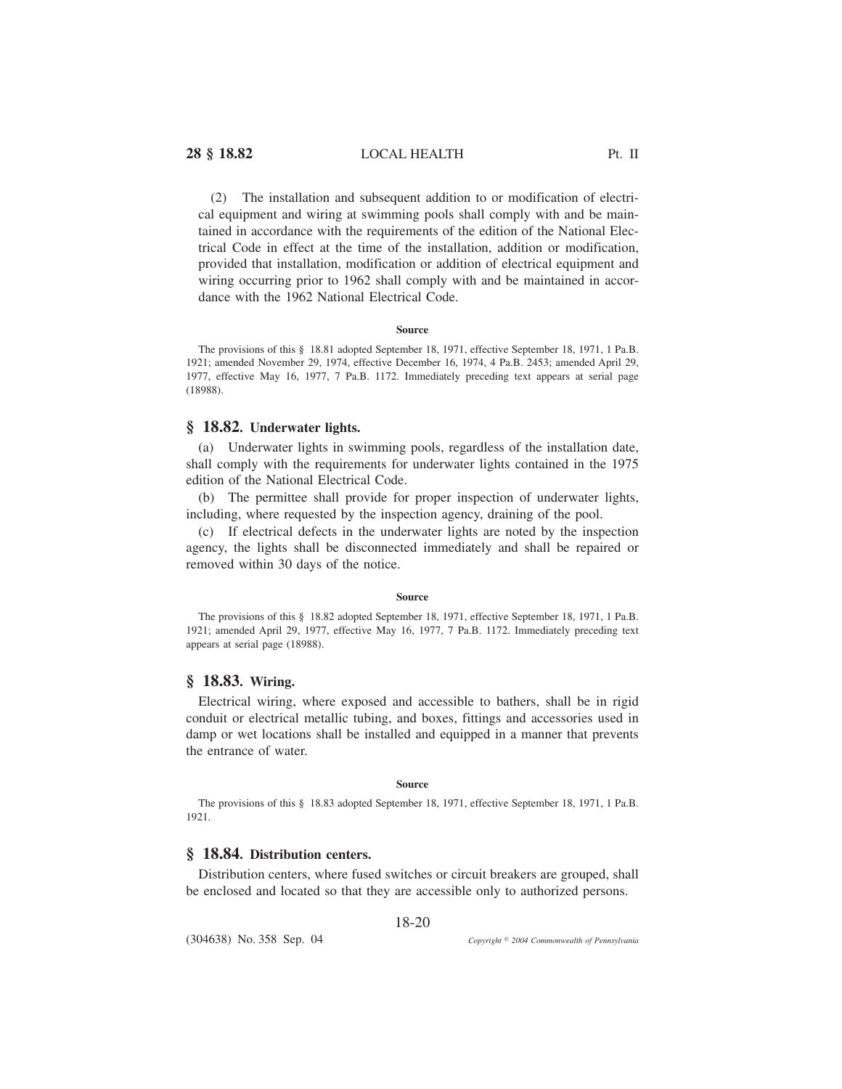# **28 § 18.82** LOCAL HEALTH Pt. II

(2) The installation and subsequent addition to or modification of electrical equipment and wiring at swimming pools shall comply with and be maintained in accordance with the requirements of the edition of the National Electrical Code in effect at the time of the installation, addition or modification, provided that installation, modification or addition of electrical equipment and wiring occurring prior to 1962 shall comply with and be maintained in accordance with the 1962 National Electrical Code.

### **Source**

The provisions of this § 18.81 adopted September 18, 1971, effective September 18, 1971, 1 Pa.B. 1921; amended November 29, 1974, effective December 16, 1974, 4 Pa.B. 2453; amended April 29, 1977, effective May 16, 1977, 7 Pa.B. 1172. Immediately preceding text appears at serial page (18988).

# **§ 18.82. Underwater lights.**

(a) Underwater lights in swimming pools, regardless of the installation date, shall comply with the requirements for underwater lights contained in the 1975 edition of the National Electrical Code.

(b) The permittee shall provide for proper inspection of underwater lights, including, where requested by the inspection agency, draining of the pool.

(c) If electrical defects in the underwater lights are noted by the inspection agency, the lights shall be disconnected immediately and shall be repaired or removed within 30 days of the notice.

#### **Source**

The provisions of this § 18.82 adopted September 18, 1971, effective September 18, 1971, 1 Pa.B. 1921; amended April 29, 1977, effective May 16, 1977, 7 Pa.B. 1172. Immediately preceding text appears at serial page (18988).

# **§ 18.83. Wiring.**

Electrical wiring, where exposed and accessible to bathers, shall be in rigid conduit or electrical metallic tubing, and boxes, fittings and accessories used in damp or wet locations shall be installed and equipped in a manner that prevents the entrance of water.

#### **Source**

The provisions of this § 18.83 adopted September 18, 1971, effective September 18, 1971, 1 Pa.B. 1921.

# **§ 18.84. Distribution centers.**

Distribution centers, where fused switches or circuit breakers are grouped, shall be enclosed and located so that they are accessible only to authorized persons.

18-20

(304638) No. 358 Sep. 04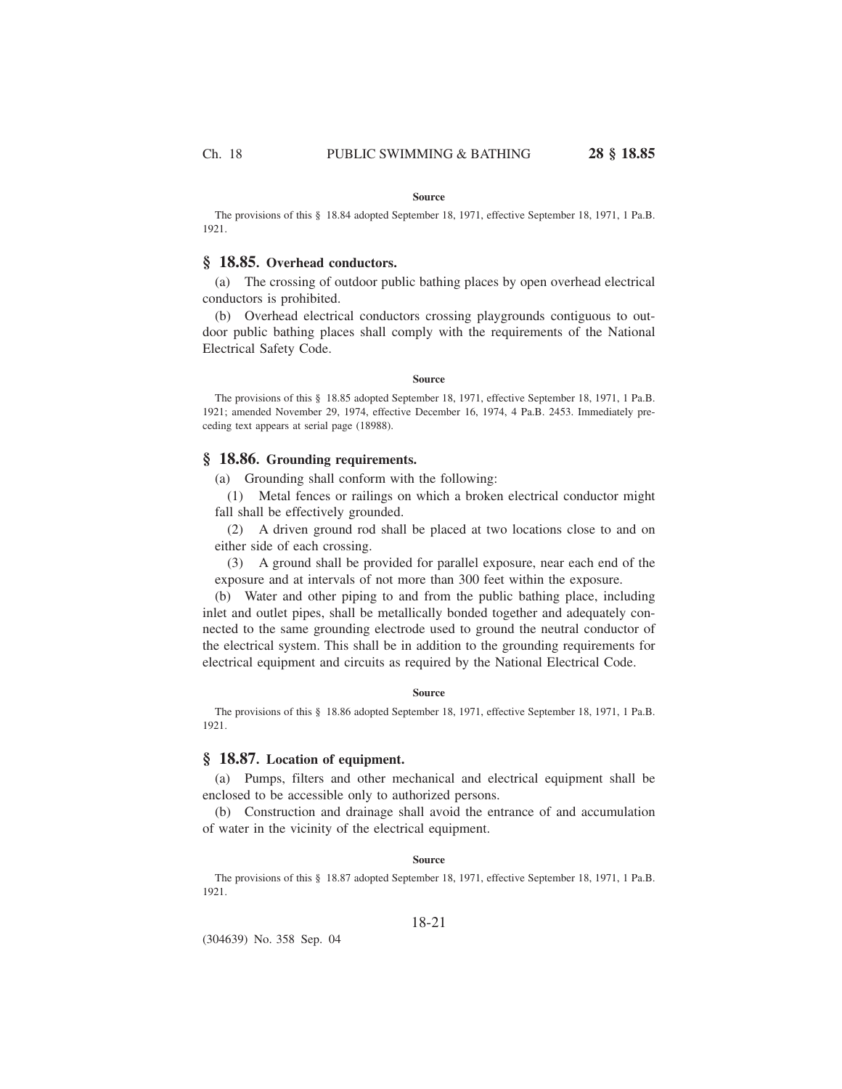The provisions of this § 18.84 adopted September 18, 1971, effective September 18, 1971, 1 Pa.B. 1921.

# **§ 18.85. Overhead conductors.**

(a) The crossing of outdoor public bathing places by open overhead electrical conductors is prohibited.

(b) Overhead electrical conductors crossing playgrounds contiguous to outdoor public bathing places shall comply with the requirements of the National Electrical Safety Code.

#### **Source**

The provisions of this § 18.85 adopted September 18, 1971, effective September 18, 1971, 1 Pa.B. 1921; amended November 29, 1974, effective December 16, 1974, 4 Pa.B. 2453. Immediately preceding text appears at serial page (18988).

# **§ 18.86. Grounding requirements.**

(a) Grounding shall conform with the following:

(1) Metal fences or railings on which a broken electrical conductor might fall shall be effectively grounded.

(2) A driven ground rod shall be placed at two locations close to and on either side of each crossing.

(3) A ground shall be provided for parallel exposure, near each end of the exposure and at intervals of not more than 300 feet within the exposure.

(b) Water and other piping to and from the public bathing place, including inlet and outlet pipes, shall be metallically bonded together and adequately connected to the same grounding electrode used to ground the neutral conductor of the electrical system. This shall be in addition to the grounding requirements for electrical equipment and circuits as required by the National Electrical Code.

# **Source**

The provisions of this § 18.86 adopted September 18, 1971, effective September 18, 1971, 1 Pa.B. 1921.

# **§ 18.87. Location of equipment.**

(a) Pumps, filters and other mechanical and electrical equipment shall be enclosed to be accessible only to authorized persons.

(b) Construction and drainage shall avoid the entrance of and accumulation of water in the vicinity of the electrical equipment.

### **Source**

The provisions of this § 18.87 adopted September 18, 1971, effective September 18, 1971, 1 Pa.B. 1921.

### 18-21

(304639) No. 358 Sep. 04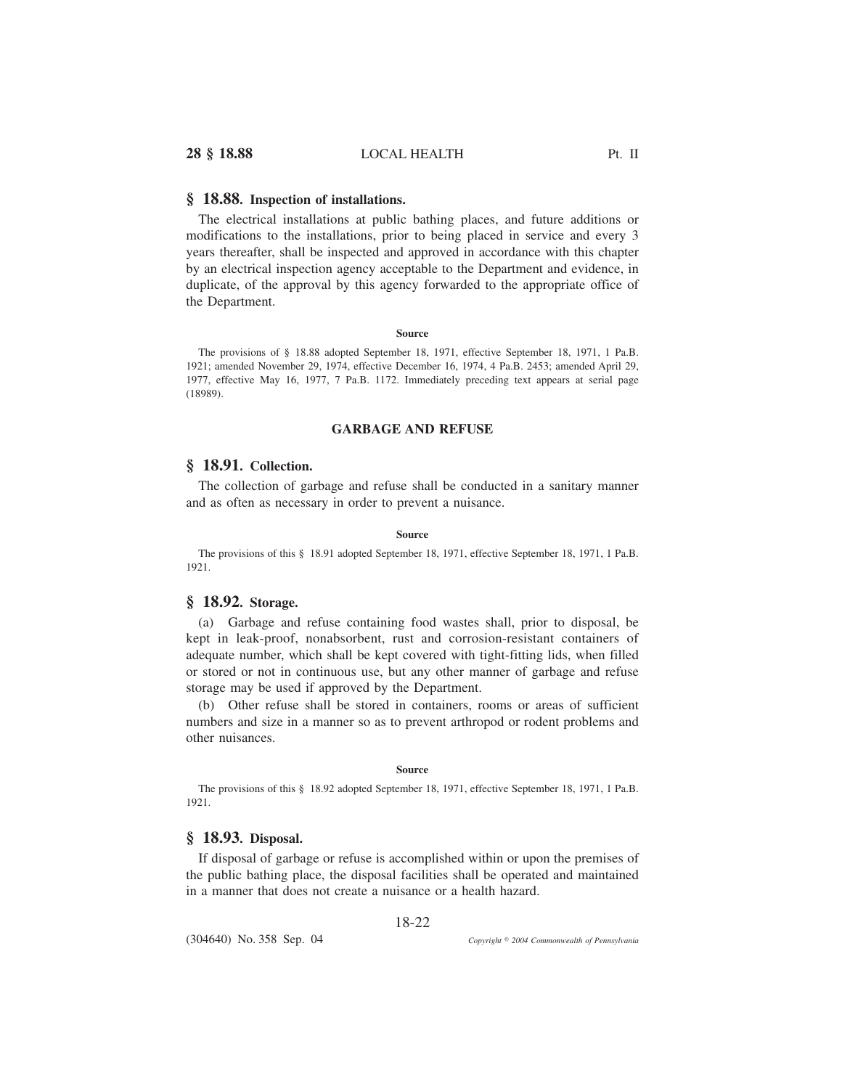# **28 § 18.88** LOCAL HEALTH Pt. II

### **§ 18.88. Inspection of installations.**

The electrical installations at public bathing places, and future additions or modifications to the installations, prior to being placed in service and every 3 years thereafter, shall be inspected and approved in accordance with this chapter by an electrical inspection agency acceptable to the Department and evidence, in duplicate, of the approval by this agency forwarded to the appropriate office of the Department.

### **Source**

The provisions of § 18.88 adopted September 18, 1971, effective September 18, 1971, 1 Pa.B. 1921; amended November 29, 1974, effective December 16, 1974, 4 Pa.B. 2453; amended April 29, 1977, effective May 16, 1977, 7 Pa.B. 1172. Immediately preceding text appears at serial page (18989).

# **GARBAGE AND REFUSE**

# **§ 18.91. Collection.**

The collection of garbage and refuse shall be conducted in a sanitary manner and as often as necessary in order to prevent a nuisance.

#### **Source**

The provisions of this § 18.91 adopted September 18, 1971, effective September 18, 1971, 1 Pa.B. 1921.

### **§ 18.92. Storage.**

(a) Garbage and refuse containing food wastes shall, prior to disposal, be kept in leak-proof, nonabsorbent, rust and corrosion-resistant containers of adequate number, which shall be kept covered with tight-fitting lids, when filled or stored or not in continuous use, but any other manner of garbage and refuse storage may be used if approved by the Department.

(b) Other refuse shall be stored in containers, rooms or areas of sufficient numbers and size in a manner so as to prevent arthropod or rodent problems and other nuisances.

#### **Source**

The provisions of this § 18.92 adopted September 18, 1971, effective September 18, 1971, 1 Pa.B. 1921.

# **§ 18.93. Disposal.**

If disposal of garbage or refuse is accomplished within or upon the premises of the public bathing place, the disposal facilities shall be operated and maintained in a manner that does not create a nuisance or a health hazard.

18-22

(304640) No. 358 Sep. 04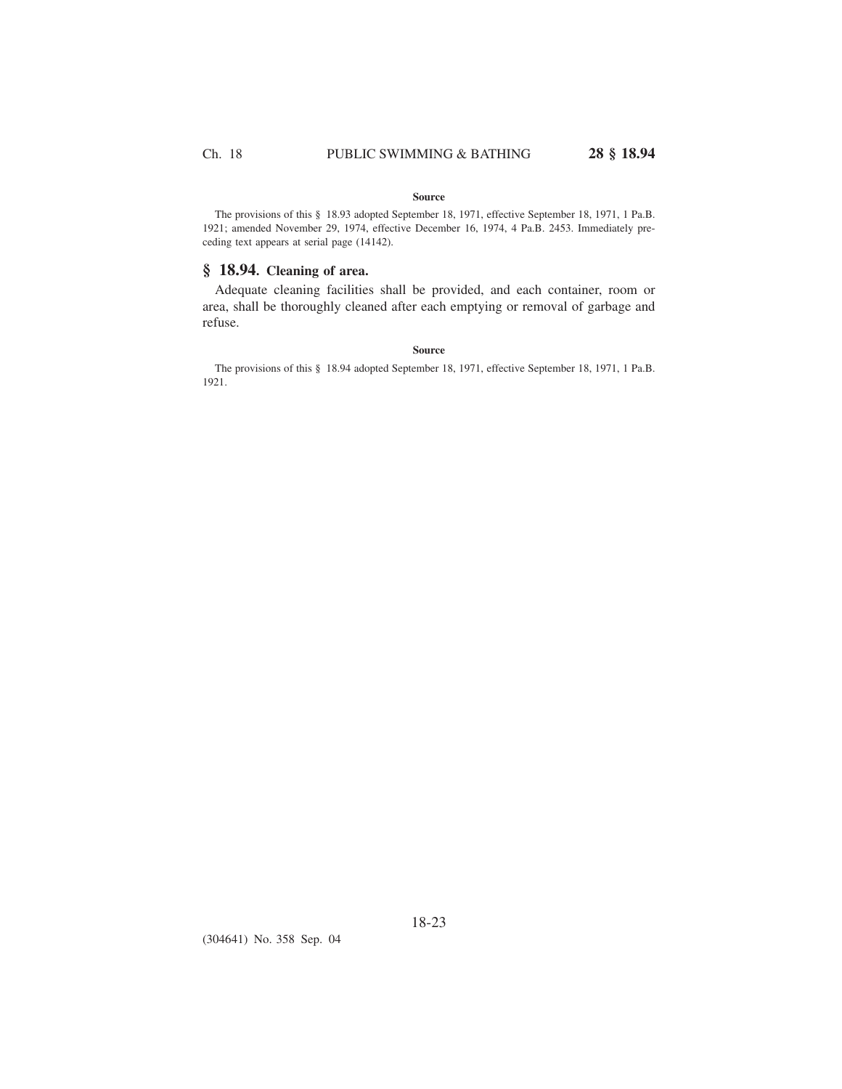The provisions of this § 18.93 adopted September 18, 1971, effective September 18, 1971, 1 Pa.B. 1921; amended November 29, 1974, effective December 16, 1974, 4 Pa.B. 2453. Immediately preceding text appears at serial page (14142).

# **§ 18.94. Cleaning of area.**

Adequate cleaning facilities shall be provided, and each container, room or area, shall be thoroughly cleaned after each emptying or removal of garbage and refuse.

### **Source**

The provisions of this § 18.94 adopted September 18, 1971, effective September 18, 1971, 1 Pa.B. 1921.

(304641) No. 358 Sep. 04